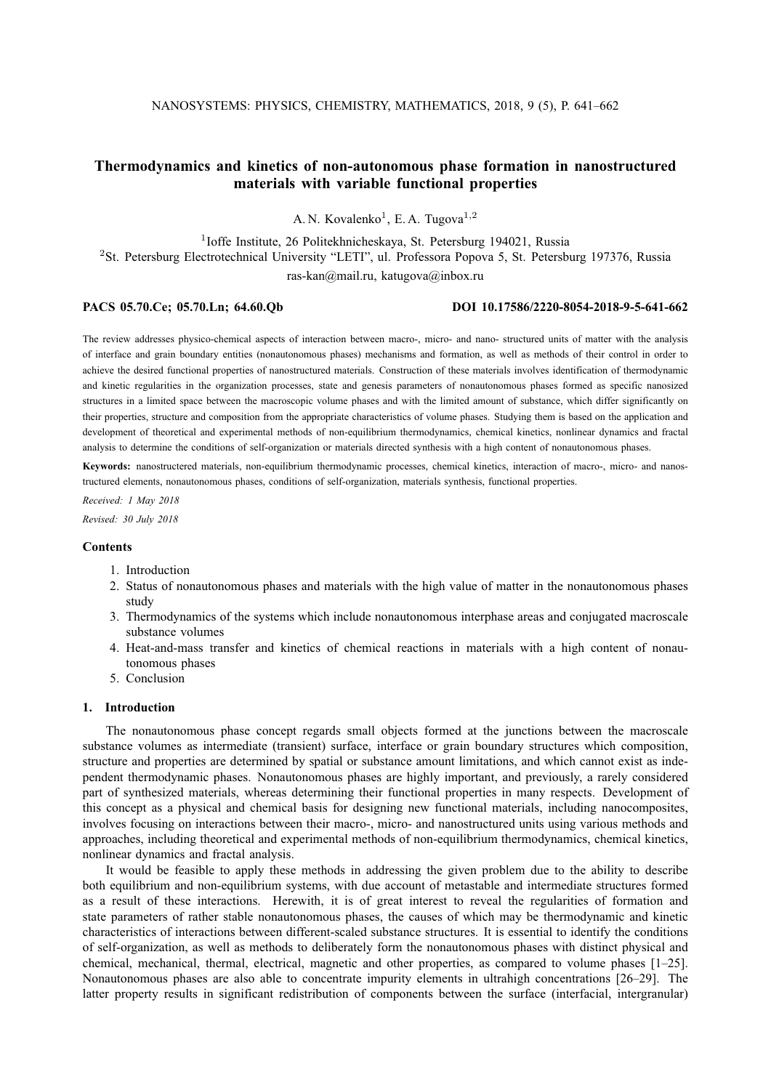# **Thermodynamics and kinetics of non-autonomous phase formation in nanostructured materials with variable functional properties**

A. N. Kovalenko<sup>1</sup>, E. A. Tugova<sup>1,2</sup>

<sup>1</sup>Ioffe Institute, 26 Politekhnicheskaya, St. Petersburg 194021, Russia

<sup>2</sup>St. Petersburg Electrotechnical University "LETI", ul. Professora Popova 5, St. Petersburg 197376, Russia

ras-kan@mail.ru, katugova@inbox.ru

## **PACS 05.70.Ce; 05.70.Ln; 64.60.Qb DOI 10.17586/2220-8054-2018-9-5-641-662**

The review addresses physico-chemical aspects of interaction between macro-, micro- and nano- structured units of matter with the analysis of interface and grain boundary entities (nonautonomous phases) mechanisms and formation, as well as methods of their control in order to achieve the desired functional properties of nanostructured materials. Construction of these materials involves identification of thermodynamic and kinetic regularities in the organization processes, state and genesis parameters of nonautonomous phases formed as specific nanosized structures in a limited space between the macroscopic volume phases and with the limited amount of substance, which differ significantly on their properties, structure and composition from the appropriate characteristics of volume phases. Studying them is based on the application and development of theoretical and experimental methods of non-equilibrium thermodynamics, chemical kinetics, nonlinear dynamics and fractal analysis to determine the conditions of self-organization or materials directed synthesis with a high content of nonautonomous phases.

**Keywords:** nanostructered materials, non-equilibrium thermodynamic processes, chemical kinetics, interaction of macro-, micro- and nanostructured elements, nonautonomous phases, conditions of self-organization, materials synthesis, functional properties.

*Received: 1 May 2018 Revised: 30 July 2018*

## **Contents**

- 1. Introduction
- 2. Status of nonautonomous phases and materials with the high value of matter in the nonautonomous phases study
- 3. Thermodynamics of the systems which include nonautonomous interphase areas and conjugated macroscale substance volumes
- 4. Heat-and-mass transfer and kinetics of chemical reactions in materials with a high content of nonautonomous phases
- 5. Conclusion

## **1. Introduction**

The nonautonomous phase concept regards small objects formed at the junctions between the macroscale substance volumes as intermediate (transient) surface, interface or grain boundary structures which composition, structure and properties are determined by spatial or substance amount limitations, and which cannot exist as independent thermodynamic phases. Nonautonomous phases are highly important, and previously, a rarely considered part of synthesized materials, whereas determining their functional properties in many respects. Development of this concept as a physical and chemical basis for designing new functional materials, including nanocomposites, involves focusing on interactions between their macro-, micro- and nanostructured units using various methods and approaches, including theoretical and experimental methods of non-equilibrium thermodynamics, chemical kinetics, nonlinear dynamics and fractal analysis.

It would be feasible to apply these methods in addressing the given problem due to the ability to describe both equilibrium and non-equilibrium systems, with due account of metastable and intermediate structures formed as a result of these interactions. Herewith, it is of great interest to reveal the regularities of formation and state parameters of rather stable nonautonomous phases, the causes of which may be thermodynamic and kinetic characteristics of interactions between different-scaled substance structures. It is essential to identify the conditions of self-organization, as well as methods to deliberately form the nonautonomous phases with distinct physical and chemical, mechanical, thermal, electrical, magnetic and other properties, as compared to volume phases [1–25]. Nonautonomous phases are also able to concentrate impurity elements in ultrahigh concentrations [26–29]. The latter property results in significant redistribution of components between the surface (interfacial, intergranular)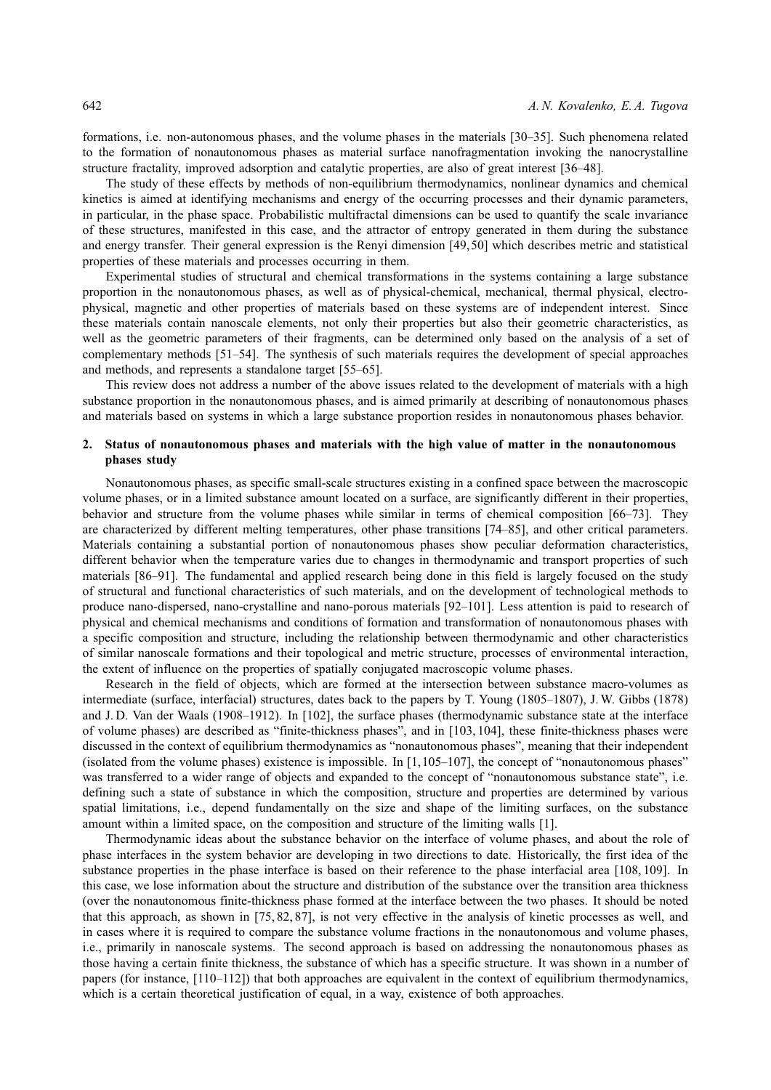formations, i.e. non-autonomous phases, and the volume phases in the materials [30–35]. Such phenomena related to the formation of nonautonomous phases as material surface nanofragmentation invoking the nanocrystalline structure fractality, improved adsorption and catalytic properties, are also of great interest [36–48].

The study of these effects by methods of non-equilibrium thermodynamics, nonlinear dynamics and chemical kinetics is aimed at identifying mechanisms and energy of the occurring processes and their dynamic parameters, in particular, in the phase space. Probabilistic multifractal dimensions can be used to quantify the scale invariance of these structures, manifested in this case, and the attractor of entropy generated in them during the substance and energy transfer. Their general expression is the Renyi dimension [49, 50] which describes metric and statistical properties of these materials and processes occurring in them.

Experimental studies of structural and chemical transformations in the systems containing a large substance proportion in the nonautonomous phases, as well as of physical-chemical, mechanical, thermal physical, electrophysical, magnetic and other properties of materials based on these systems are of independent interest. Since these materials contain nanoscale elements, not only their properties but also their geometric characteristics, as well as the geometric parameters of their fragments, can be determined only based on the analysis of a set of complementary methods [51–54]. The synthesis of such materials requires the development of special approaches and methods, and represents a standalone target [55–65].

This review does not address a number of the above issues related to the development of materials with a high substance proportion in the nonautonomous phases, and is aimed primarily at describing of nonautonomous phases and materials based on systems in which a large substance proportion resides in nonautonomous phases behavior.

## **2. Status of nonautonomous phases and materials with the high value of matter in the nonautonomous phases study**

Nonautonomous phases, as specific small-scale structures existing in a confined space between the macroscopic volume phases, or in a limited substance amount located on a surface, are significantly different in their properties, behavior and structure from the volume phases while similar in terms of chemical composition [66–73]. They are characterized by different melting temperatures, other phase transitions [74–85], and other critical parameters. Materials containing a substantial portion of nonautonomous phases show peculiar deformation characteristics, different behavior when the temperature varies due to changes in thermodynamic and transport properties of such materials [86–91]. The fundamental and applied research being done in this field is largely focused on the study of structural and functional characteristics of such materials, and on the development of technological methods to produce nano-dispersed, nano-crystalline and nano-porous materials [92–101]. Less attention is paid to research of physical and chemical mechanisms and conditions of formation and transformation of nonautonomous phases with a specific composition and structure, including the relationship between thermodynamic and other characteristics of similar nanoscale formations and their topological and metric structure, processes of environmental interaction, the extent of influence on the properties of spatially conjugated macroscopic volume phases.

Research in the field of objects, which are formed at the intersection between substance macro-volumes as intermediate (surface, interfacial) structures, dates back to the papers by T. Young (1805–1807), J. W. Gibbs (1878) and J. D. Van der Waals (1908–1912). In [102], the surface phases (thermodynamic substance state at the interface of volume phases) are described as "finite-thickness phases", and in [103, 104], these finite-thickness phases were discussed in the context of equilibrium thermodynamics as "nonautonomous phases", meaning that their independent (isolated from the volume phases) existence is impossible. In  $[1,105-107]$ , the concept of "nonautonomous phases" was transferred to a wider range of objects and expanded to the concept of "nonautonomous substance state", i.e. defining such a state of substance in which the composition, structure and properties are determined by various spatial limitations, i.e., depend fundamentally on the size and shape of the limiting surfaces, on the substance amount within a limited space, on the composition and structure of the limiting walls [1].

Thermodynamic ideas about the substance behavior on the interface of volume phases, and about the role of phase interfaces in the system behavior are developing in two directions to date. Historically, the first idea of the substance properties in the phase interface is based on their reference to the phase interfacial area [108, 109]. In this case, we lose information about the structure and distribution of the substance over the transition area thickness (over the nonautonomous finite-thickness phase formed at the interface between the two phases. It should be noted that this approach, as shown in [75, 82, 87], is not very effective in the analysis of kinetic processes as well, and in cases where it is required to compare the substance volume fractions in the nonautonomous and volume phases, i.e., primarily in nanoscale systems. The second approach is based on addressing the nonautonomous phases as those having a certain finite thickness, the substance of which has a specific structure. It was shown in a number of papers (for instance, [110–112]) that both approaches are equivalent in the context of equilibrium thermodynamics, which is a certain theoretical justification of equal, in a way, existence of both approaches.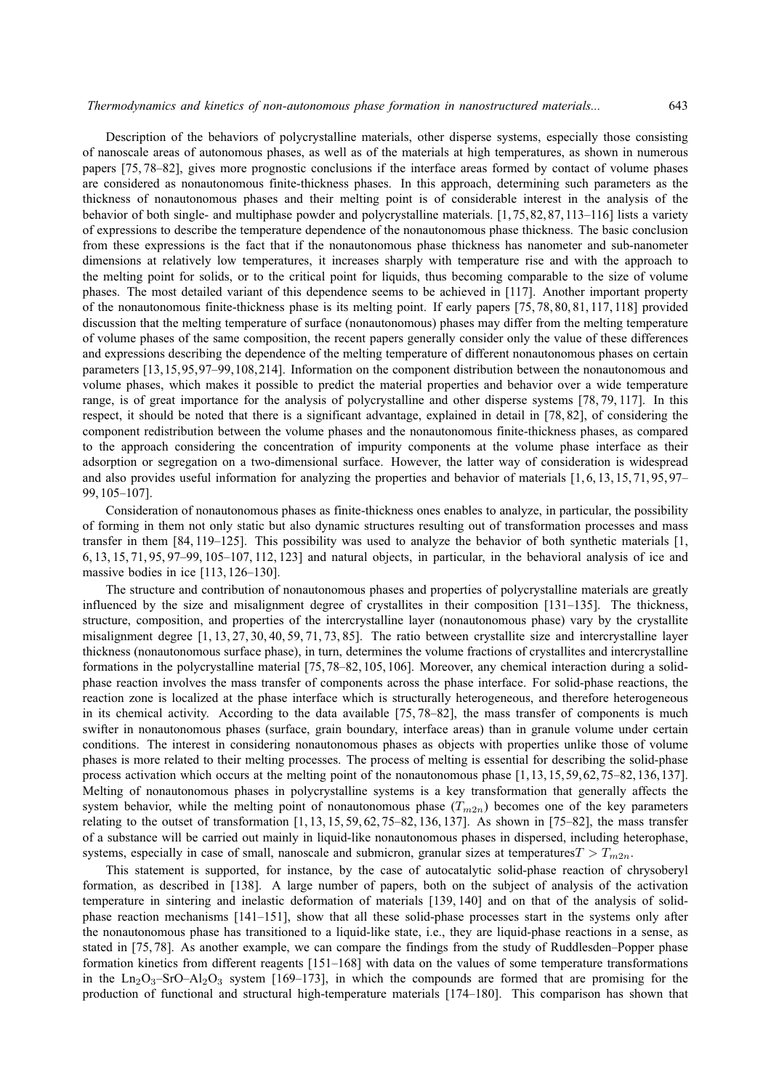Description of the behaviors of polycrystalline materials, other disperse systems, especially those consisting of nanoscale areas of autonomous phases, as well as of the materials at high temperatures, as shown in numerous papers [75, 78–82], gives more prognostic conclusions if the interface areas formed by contact of volume phases are considered as nonautonomous finite-thickness phases. In this approach, determining such parameters as the thickness of nonautonomous phases and their melting point is of considerable interest in the analysis of the behavior of both single- and multiphase powder and polycrystalline materials. [1, 75, 82, 87, 113–116] lists a variety of expressions to describe the temperature dependence of the nonautonomous phase thickness. The basic conclusion from these expressions is the fact that if the nonautonomous phase thickness has nanometer and sub-nanometer dimensions at relatively low temperatures, it increases sharply with temperature rise and with the approach to the melting point for solids, or to the critical point for liquids, thus becoming comparable to the size of volume phases. The most detailed variant of this dependence seems to be achieved in [117]. Another important property of the nonautonomous finite-thickness phase is its melting point. If early papers [75, 78, 80, 81, 117, 118] provided discussion that the melting temperature of surface (nonautonomous) phases may differ from the melting temperature of volume phases of the same composition, the recent papers generally consider only the value of these differences and expressions describing the dependence of the melting temperature of different nonautonomous phases on certain parameters [13,15,95,97–99,108,214]. Information on the component distribution between the nonautonomous and volume phases, which makes it possible to predict the material properties and behavior over a wide temperature range, is of great importance for the analysis of polycrystalline and other disperse systems [78, 79, 117]. In this respect, it should be noted that there is a significant advantage, explained in detail in [78, 82], of considering the component redistribution between the volume phases and the nonautonomous finite-thickness phases, as compared to the approach considering the concentration of impurity components at the volume phase interface as their adsorption or segregation on a two-dimensional surface. However, the latter way of consideration is widespread and also provides useful information for analyzing the properties and behavior of materials [1, 6, 13, 15, 71, 95, 97– 99, 105–107].

Consideration of nonautonomous phases as finite-thickness ones enables to analyze, in particular, the possibility of forming in them not only static but also dynamic structures resulting out of transformation processes and mass transfer in them [84, 119–125]. This possibility was used to analyze the behavior of both synthetic materials [1, 6, 13, 15, 71, 95, 97–99, 105–107, 112, 123] and natural objects, in particular, in the behavioral analysis of ice and massive bodies in ice [113, 126–130].

The structure and contribution of nonautonomous phases and properties of polycrystalline materials are greatly influenced by the size and misalignment degree of crystallites in their composition [131–135]. The thickness, structure, composition, and properties of the intercrystalline layer (nonautonomous phase) vary by the crystallite misalignment degree [1, 13, 27, 30, 40, 59, 71, 73, 85]. The ratio between crystallite size and intercrystalline layer thickness (nonautonomous surface phase), in turn, determines the volume fractions of crystallites and intercrystalline formations in the polycrystalline material [75, 78–82, 105, 106]. Moreover, any chemical interaction during a solidphase reaction involves the mass transfer of components across the phase interface. For solid-phase reactions, the reaction zone is localized at the phase interface which is structurally heterogeneous, and therefore heterogeneous in its chemical activity. According to the data available [75, 78–82], the mass transfer of components is much swifter in nonautonomous phases (surface, grain boundary, interface areas) than in granule volume under certain conditions. The interest in considering nonautonomous phases as objects with properties unlike those of volume phases is more related to their melting processes. The process of melting is essential for describing the solid-phase process activation which occurs at the melting point of the nonautonomous phase [1, 13, 15, 59, 62, 75–82, 136, 137]. Melting of nonautonomous phases in polycrystalline systems is a key transformation that generally affects the system behavior, while the melting point of nonautonomous phase  $(T_{m2n})$  becomes one of the key parameters relating to the outset of transformation  $[1, 13, 15, 59, 62, 75–82, 136, 137]$ . As shown in  $[75–82]$ , the mass transfer of a substance will be carried out mainly in liquid-like nonautonomous phases in dispersed, including heterophase, systems, especially in case of small, nanoscale and submicron, granular sizes at temperatures  $T > T_{m2n}$ .

This statement is supported, for instance, by the case of autocatalytic solid-phase reaction of chrysoberyl formation, as described in [138]. A large number of papers, both on the subject of analysis of the activation temperature in sintering and inelastic deformation of materials [139, 140] and on that of the analysis of solidphase reaction mechanisms [141–151], show that all these solid-phase processes start in the systems only after the nonautonomous phase has transitioned to a liquid-like state, i.e., they are liquid-phase reactions in a sense, as stated in [75, 78]. As another example, we can compare the findings from the study of Ruddlesden–Popper phase formation kinetics from different reagents [151–168] with data on the values of some temperature transformations in the  $\text{Ln}_2\text{O}_3$ –SrO–Al<sub>2</sub>O<sub>3</sub> system [169–173], in which the compounds are formed that are promising for the production of functional and structural high-temperature materials [174–180]. This comparison has shown that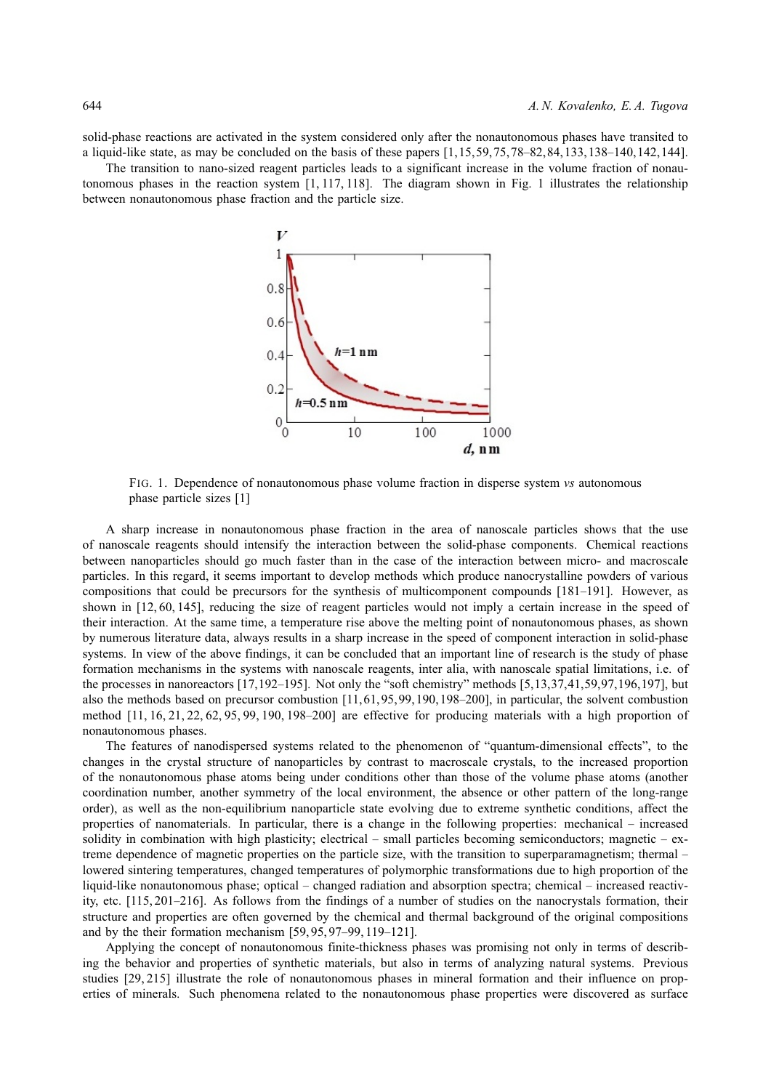solid-phase reactions are activated in the system considered only after the nonautonomous phases have transited to a liquid-like state, as may be concluded on the basis of these papers [1,15,59,75,78–82,84,133,138–140,142,144].

The transition to nano-sized reagent particles leads to a significant increase in the volume fraction of nonautonomous phases in the reaction system [1, 117, 118]. The diagram shown in Fig. 1 illustrates the relationship between nonautonomous phase fraction and the particle size.



FIG. 1. Dependence of nonautonomous phase volume fraction in disperse system *vs* autonomous phase particle sizes [1]

A sharp increase in nonautonomous phase fraction in the area of nanoscale particles shows that the use of nanoscale reagents should intensify the interaction between the solid-phase components. Chemical reactions between nanoparticles should go much faster than in the case of the interaction between micro- and macroscale particles. In this regard, it seems important to develop methods which produce nanocrystalline powders of various compositions that could be precursors for the synthesis of multicomponent compounds [181–191]. However, as shown in [12, 60, 145], reducing the size of reagent particles would not imply a certain increase in the speed of their interaction. At the same time, a temperature rise above the melting point of nonautonomous phases, as shown by numerous literature data, always results in a sharp increase in the speed of component interaction in solid-phase systems. In view of the above findings, it can be concluded that an important line of research is the study of phase formation mechanisms in the systems with nanoscale reagents, inter alia, with nanoscale spatial limitations, i.e. of the processes in nanoreactors [17,192–195]. Not only the "soft chemistry" methods [5,13,37,41,59,97,196,197], but also the methods based on precursor combustion [11, 61, 95, 99, 190, 198–200], in particular, the solvent combustion method [11, 16, 21, 22, 62, 95, 99, 190, 198–200] are effective for producing materials with a high proportion of nonautonomous phases.

The features of nanodispersed systems related to the phenomenon of "quantum-dimensional effects", to the changes in the crystal structure of nanoparticles by contrast to macroscale crystals, to the increased proportion of the nonautonomous phase atoms being under conditions other than those of the volume phase atoms (another coordination number, another symmetry of the local environment, the absence or other pattern of the long-range order), as well as the non-equilibrium nanoparticle state evolving due to extreme synthetic conditions, affect the properties of nanomaterials. In particular, there is a change in the following properties: mechanical – increased solidity in combination with high plasticity; electrical – small particles becoming semiconductors; magnetic – extreme dependence of magnetic properties on the particle size, with the transition to superparamagnetism; thermal – lowered sintering temperatures, changed temperatures of polymorphic transformations due to high proportion of the liquid-like nonautonomous phase; optical – changed radiation and absorption spectra; chemical – increased reactivity, etc. [115, 201–216]. As follows from the findings of a number of studies on the nanocrystals formation, their structure and properties are often governed by the chemical and thermal background of the original compositions and by the their formation mechanism [59, 95, 97–99, 119–121].

Applying the concept of nonautonomous finite-thickness phases was promising not only in terms of describing the behavior and properties of synthetic materials, but also in terms of analyzing natural systems. Previous studies [29, 215] illustrate the role of nonautonomous phases in mineral formation and their influence on properties of minerals. Such phenomena related to the nonautonomous phase properties were discovered as surface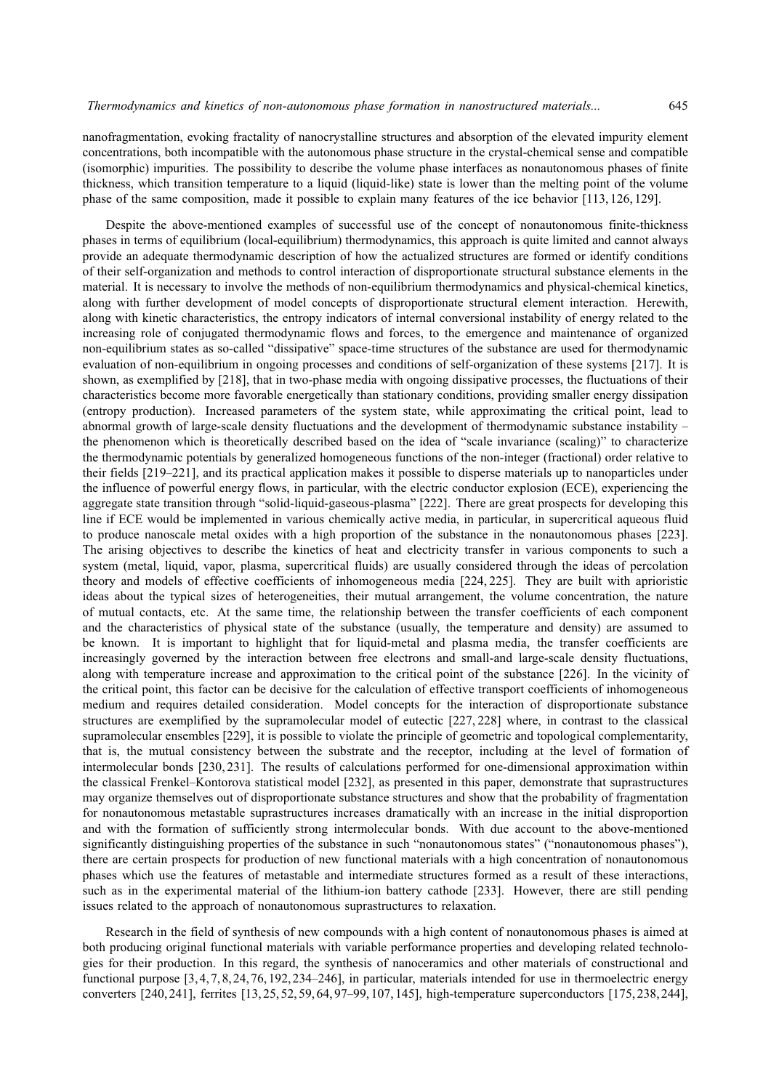nanofragmentation, evoking fractality of nanocrystalline structures and absorption of the elevated impurity element concentrations, both incompatible with the autonomous phase structure in the crystal-chemical sense and compatible (isomorphic) impurities. The possibility to describe the volume phase interfaces as nonautonomous phases of finite thickness, which transition temperature to a liquid (liquid-like) state is lower than the melting point of the volume phase of the same composition, made it possible to explain many features of the ice behavior [113, 126, 129].

Despite the above-mentioned examples of successful use of the concept of nonautonomous finite-thickness phases in terms of equilibrium (local-equilibrium) thermodynamics, this approach is quite limited and cannot always provide an adequate thermodynamic description of how the actualized structures are formed or identify conditions of their self-organization and methods to control interaction of disproportionate structural substance elements in the material. It is necessary to involve the methods of non-equilibrium thermodynamics and physical-chemical kinetics, along with further development of model concepts of disproportionate structural element interaction. Herewith, along with kinetic characteristics, the entropy indicators of internal conversional instability of energy related to the increasing role of conjugated thermodynamic flows and forces, to the emergence and maintenance of organized non-equilibrium states as so-called "dissipative" space-time structures of the substance are used for thermodynamic evaluation of non-equilibrium in ongoing processes and conditions of self-organization of these systems [217]. It is shown, as exemplified by [218], that in two-phase media with ongoing dissipative processes, the fluctuations of their characteristics become more favorable energetically than stationary conditions, providing smaller energy dissipation (entropy production). Increased parameters of the system state, while approximating the critical point, lead to abnormal growth of large-scale density fluctuations and the development of thermodynamic substance instability – the phenomenon which is theoretically described based on the idea of "scale invariance (scaling)" to characterize the thermodynamic potentials by generalized homogeneous functions of the non-integer (fractional) order relative to their fields [219–221], and its practical application makes it possible to disperse materials up to nanoparticles under the influence of powerful energy flows, in particular, with the electric conductor explosion (ECE), experiencing the aggregate state transition through "solid-liquid-gaseous-plasma" [222]. There are great prospects for developing this line if ECE would be implemented in various chemically active media, in particular, in supercritical aqueous fluid to produce nanoscale metal oxides with a high proportion of the substance in the nonautonomous phases [223]. The arising objectives to describe the kinetics of heat and electricity transfer in various components to such a system (metal, liquid, vapor, plasma, supercritical fluids) are usually considered through the ideas of percolation theory and models of effective coefficients of inhomogeneous media [224, 225]. They are built with aprioristic ideas about the typical sizes of heterogeneities, their mutual arrangement, the volume concentration, the nature of mutual contacts, etc. At the same time, the relationship between the transfer coefficients of each component and the characteristics of physical state of the substance (usually, the temperature and density) are assumed to be known. It is important to highlight that for liquid-metal and plasma media, the transfer coefficients are increasingly governed by the interaction between free electrons and small-and large-scale density fluctuations, along with temperature increase and approximation to the critical point of the substance [226]. In the vicinity of the critical point, this factor can be decisive for the calculation of effective transport coefficients of inhomogeneous medium and requires detailed consideration. Model concepts for the interaction of disproportionate substance structures are exemplified by the supramolecular model of eutectic [227, 228] where, in contrast to the classical supramolecular ensembles [229], it is possible to violate the principle of geometric and topological complementarity, that is, the mutual consistency between the substrate and the receptor, including at the level of formation of intermolecular bonds [230, 231]. The results of calculations performed for one-dimensional approximation within the classical Frenkel–Kontorova statistical model [232], as presented in this paper, demonstrate that suprastructures may organize themselves out of disproportionate substance structures and show that the probability of fragmentation for nonautonomous metastable suprastructures increases dramatically with an increase in the initial disproportion and with the formation of sufficiently strong intermolecular bonds. With due account to the above-mentioned significantly distinguishing properties of the substance in such "nonautonomous states" ("nonautonomous phases"), there are certain prospects for production of new functional materials with a high concentration of nonautonomous phases which use the features of metastable and intermediate structures formed as a result of these interactions, such as in the experimental material of the lithium-ion battery cathode [233]. However, there are still pending issues related to the approach of nonautonomous suprastructures to relaxation.

Research in the field of synthesis of new compounds with a high content of nonautonomous phases is aimed at both producing original functional materials with variable performance properties and developing related technologies for their production. In this regard, the synthesis of nanoceramics and other materials of constructional and functional purpose [3, 4, 7, 8, 24, 76, 192, 234–246], in particular, materials intended for use in thermoelectric energy converters [240, 241], ferrites [13, 25, 52, 59, 64, 97–99, 107, 145], high-temperature superconductors [175, 238, 244],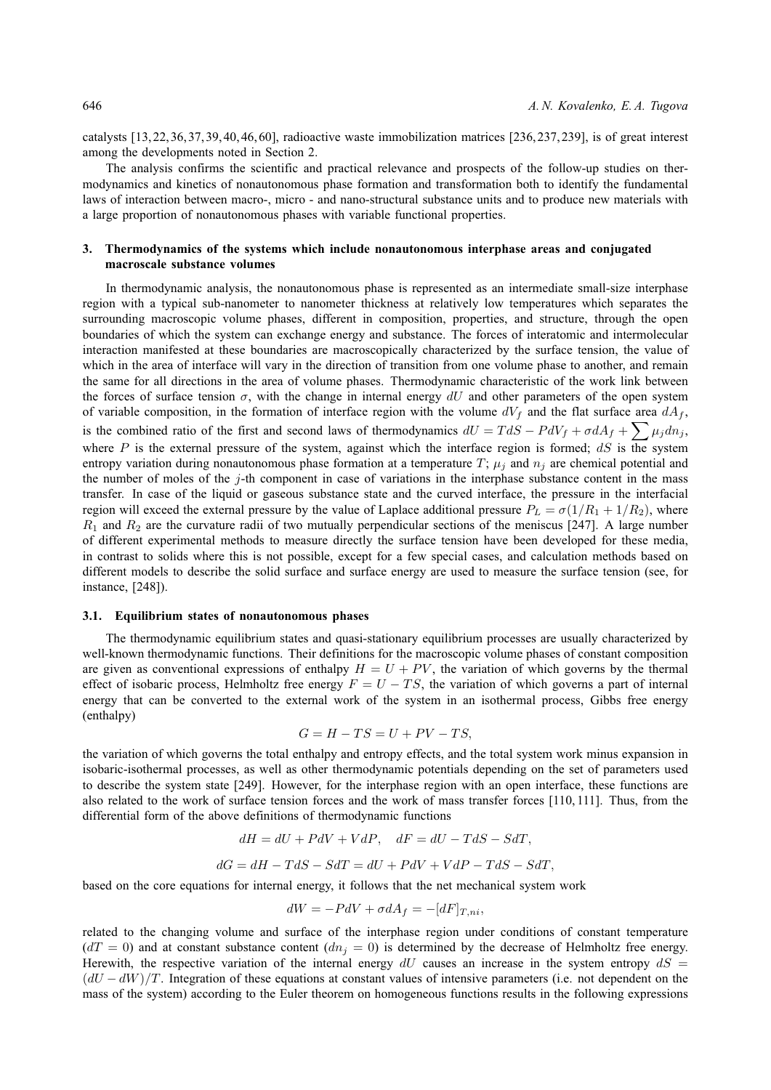catalysts [13, 22, 36, 37, 39, 40, 46, 60], radioactive waste immobilization matrices [236, 237, 239], is of great interest among the developments noted in Section 2.

The analysis confirms the scientific and practical relevance and prospects of the follow-up studies on thermodynamics and kinetics of nonautonomous phase formation and transformation both to identify the fundamental laws of interaction between macro-, micro - and nano-structural substance units and to produce new materials with a large proportion of nonautonomous phases with variable functional properties.

## **3. Thermodynamics of the systems which include nonautonomous interphase areas and conjugated macroscale substance volumes**

In thermodynamic analysis, the nonautonomous phase is represented as an intermediate small-size interphase region with a typical sub-nanometer to nanometer thickness at relatively low temperatures which separates the surrounding macroscopic volume phases, different in composition, properties, and structure, through the open boundaries of which the system can exchange energy and substance. The forces of interatomic and intermolecular interaction manifested at these boundaries are macroscopically characterized by the surface tension, the value of which in the area of interface will vary in the direction of transition from one volume phase to another, and remain the same for all directions in the area of volume phases. Thermodynamic characteristic of the work link between the forces of surface tension  $\sigma$ , with the change in internal energy dU and other parameters of the open system of variable composition, in the formation of interface region with the volume  $dV_f$  and the flat surface area  $dA_f$ , is the combined ratio of the first and second laws of thermodynamics  $dU = T dS - P dV_f + \sigma dA_f + \sum_{i} \mu_i d n_i$ , where  $P$  is the external pressure of the system, against which the interface region is formed;  $dS$  is the system entropy variation during nonautonomous phase formation at a temperature T;  $\mu_i$  and  $n_j$  are chemical potential and the number of moles of the j-th component in case of variations in the interphase substance content in the mass transfer. In case of the liquid or gaseous substance state and the curved interface, the pressure in the interfacial region will exceed the external pressure by the value of Laplace additional pressure  $P_L = \sigma(1/R_1 + 1/R_2)$ , where  $R_1$  and  $R_2$  are the curvature radii of two mutually perpendicular sections of the meniscus [247]. A large number of different experimental methods to measure directly the surface tension have been developed for these media, in contrast to solids where this is not possible, except for a few special cases, and calculation methods based on different models to describe the solid surface and surface energy are used to measure the surface tension (see, for instance, [248]).

#### **3.1. Equilibrium states of nonautonomous phases**

The thermodynamic equilibrium states and quasi-stationary equilibrium processes are usually characterized by well-known thermodynamic functions. Their definitions for the macroscopic volume phases of constant composition are given as conventional expressions of enthalpy  $H = U + PV$ , the variation of which governs by the thermal effect of isobaric process, Helmholtz free energy  $F = U - TS$ , the variation of which governs a part of internal energy that can be converted to the external work of the system in an isothermal process, Gibbs free energy (enthalpy)

$$
G = H - TS = U + PV - TS,
$$

the variation of which governs the total enthalpy and entropy effects, and the total system work minus expansion in isobaric-isothermal processes, as well as other thermodynamic potentials depending on the set of parameters used to describe the system state [249]. However, for the interphase region with an open interface, these functions are also related to the work of surface tension forces and the work of mass transfer forces [110, 111]. Thus, from the differential form of the above definitions of thermodynamic functions

$$
dH = dU + PdV + VdP, \quad dF = dU - TdS - SdT,
$$
  

$$
dG = dH - TdS - SdT = dU + PdV + VdP - TdS - SdT,
$$

based on the core equations for internal energy, it follows that the net mechanical system work

$$
dW = -PdV + \sigma dA_f = -[dF]_{T,ni},
$$

related to the changing volume and surface of the interphase region under conditions of constant temperature  $(dT = 0)$  and at constant substance content  $(dn<sub>j</sub> = 0)$  is determined by the decrease of Helmholtz free energy. Herewith, the respective variation of the internal energy  $dU$  causes an increase in the system entropy  $dS =$  $(dU - dW)/T$ . Integration of these equations at constant values of intensive parameters (i.e. not dependent on the mass of the system) according to the Euler theorem on homogeneous functions results in the following expressions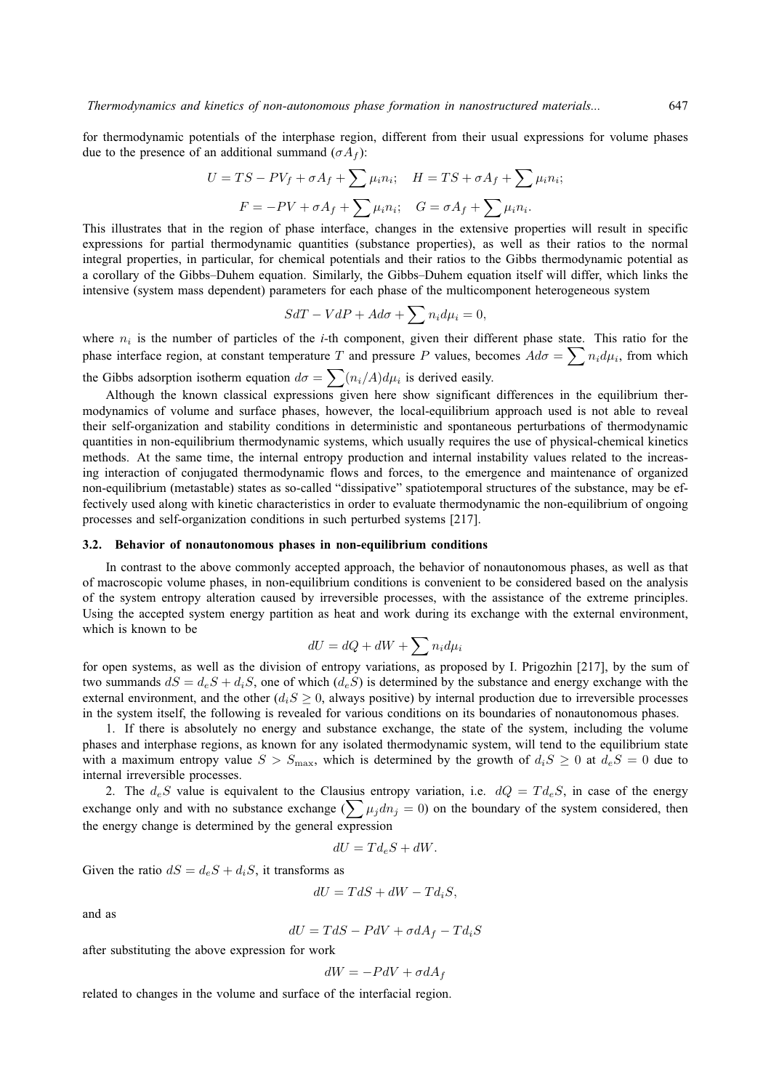for thermodynamic potentials of the interphase region, different from their usual expressions for volume phases due to the presence of an additional summand  $(\sigma A_f)$ :

$$
U = TS - PV_f + \sigma A_f + \sum \mu_i n_i; \quad H = TS + \sigma A_f + \sum \mu_i n_i;
$$

$$
F = -PV + \sigma A_f + \sum \mu_i n_i; \quad G = \sigma A_f + \sum \mu_i n_i.
$$

This illustrates that in the region of phase interface, changes in the extensive properties will result in specific expressions for partial thermodynamic quantities (substance properties), as well as their ratios to the normal integral properties, in particular, for chemical potentials and their ratios to the Gibbs thermodynamic potential as a corollary of the Gibbs–Duhem equation. Similarly, the Gibbs–Duhem equation itself will differ, which links the intensive (system mass dependent) parameters for each phase of the multicomponent heterogeneous system

$$
SdT - VdP + Ad\sigma + \sum n_i d\mu_i = 0,
$$

where  $n_i$  is the number of particles of the *i*-th component, given their different phase state. This ratio for the phase interface region, at constant temperature T and pressure P values, becomes  $Ad\sigma = \sum n_i d\mu_i$ , from which the Gibbs adsorption isotherm equation  $d\sigma = \sum_{i} (n_i/A) d\mu_i$  is derived easily.

Although the known classical expressions given here show significant differences in the equilibrium thermodynamics of volume and surface phases, however, the local-equilibrium approach used is not able to reveal their self-organization and stability conditions in deterministic and spontaneous perturbations of thermodynamic quantities in non-equilibrium thermodynamic systems, which usually requires the use of physical-chemical kinetics methods. At the same time, the internal entropy production and internal instability values related to the increasing interaction of conjugated thermodynamic flows and forces, to the emergence and maintenance of organized non-equilibrium (metastable) states as so-called "dissipative" spatiotemporal structures of the substance, may be effectively used along with kinetic characteristics in order to evaluate thermodynamic the non-equilibrium of ongoing processes and self-organization conditions in such perturbed systems [217].

### **3.2. Behavior of nonautonomous phases in non-equilibrium conditions**

In contrast to the above commonly accepted approach, the behavior of nonautonomous phases, as well as that of macroscopic volume phases, in non-equilibrium conditions is convenient to be considered based on the analysis of the system entropy alteration caused by irreversible processes, with the assistance of the extreme principles. Using the accepted system energy partition as heat and work during its exchange with the external environment, which is known to be

$$
dU = dQ + dW + \sum n_i d\mu_i
$$

for open systems, as well as the division of entropy variations, as proposed by I. Prigozhin [217], by the sum of two summands  $dS = d_eS + d_iS$ , one of which  $(d_eS)$  is determined by the substance and energy exchange with the external environment, and the other  $(d_iS \geq 0$ , always positive) by internal production due to irreversible processes in the system itself, the following is revealed for various conditions on its boundaries of nonautonomous phases.

1. If there is absolutely no energy and substance exchange, the state of the system, including the volume phases and interphase regions, as known for any isolated thermodynamic system, will tend to the equilibrium state with a maximum entropy value  $S > S_{\text{max}}$ , which is determined by the growth of  $d_iS \geq 0$  at  $d_eS = 0$  due to internal irreversible processes.

2. The  $d_eS$  value is equivalent to the Clausius entropy variation, i.e.  $dQ = T d_eS$ , in case of the energy exchange only and with no substance exchange  $(\sum \mu_j dn_j = 0)$  on the boundary of the system considered, then the energy change is determined by the general expression

$$
dU = Td_eS + dW.
$$

Given the ratio  $dS = d_eS + d_iS$ , it transforms as

$$
dU = TdS + dW - Td_iS,
$$

and as

 $dU = T dS - P dV + \sigma dA_f - T d_i S$ 

after substituting the above expression for work

$$
dW = -PdV + \sigma dA_f
$$

related to changes in the volume and surface of the interfacial region.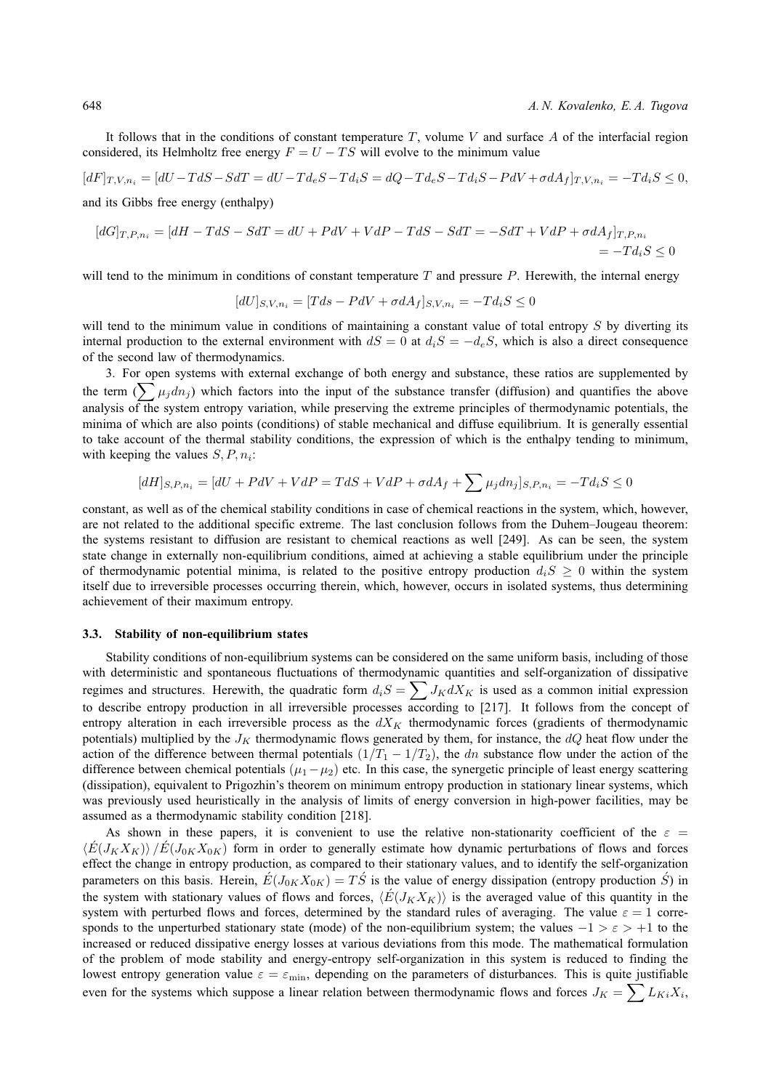It follows that in the conditions of constant temperature  $T$ , volume V and surface A of the interfacial region considered, its Helmholtz free energy  $F = U - TS$  will evolve to the minimum value

$$
[dF]_{T,V,n_i} = [dU - TdS - SdT] = dU - Td_eS - Td_iS = dQ - Td_eS - Td_iS - PdV + \sigma dA_f]_{T,V,n_i} = -Td_iS \le 0,
$$

and its Gibbs free energy (enthalpy)

$$
[dG]_{T,P,n_i} = [dH - TdS - SdT = dU + PdV + VdP - TdS - SdT = -SdT + VdP + \sigma dA_f]_{T,P,n_i}
$$
  
= -Td<sub>i</sub>S \le 0

will tend to the minimum in conditions of constant temperature  $T$  and pressure  $P$ . Herewith, the internal energy

$$
[dU]_{S,V,n_i} = [Tds - PdV + \sigma dA_f]_{S,V,n_i} = -Td_iS \le 0
$$

will tend to the minimum value in conditions of maintaining a constant value of total entropy  $S$  by diverting its internal production to the external environment with  $dS = 0$  at  $d_iS = -d_eS$ , which is also a direct consequence of the second law of thermodynamics.

3. For open systems with external exchange of both energy and substance, these ratios are supplemented by the term  $(\sum \mu_j d n_j)$  which factors into the input of the substance transfer (diffusion) and quantifies the above analysis of the system entropy variation, while preserving the extreme principles of thermodynamic potentials, the minima of which are also points (conditions) of stable mechanical and diffuse equilibrium. It is generally essential to take account of the thermal stability conditions, the expression of which is the enthalpy tending to minimum, with keeping the values  $S, P, n_i$ :

$$
[dH]_{S,P,n_i} = [dU + PdV + VdP = TdS + VdP + \sigma dA_f + \sum \mu_j d n_j]_{S,P,n_i} = -Td_iS \le 0
$$

constant, as well as of the chemical stability conditions in case of chemical reactions in the system, which, however, are not related to the additional specific extreme. The last conclusion follows from the Duhem–Jougeau theorem: the systems resistant to diffusion are resistant to chemical reactions as well [249]. As can be seen, the system state change in externally non-equilibrium conditions, aimed at achieving a stable equilibrium under the principle of thermodynamic potential minima, is related to the positive entropy production  $d_iS \geq 0$  within the system itself due to irreversible processes occurring therein, which, however, occurs in isolated systems, thus determining achievement of their maximum entropy.

#### **3.3. Stability of non-equilibrium states**

Stability conditions of non-equilibrium systems can be considered on the same uniform basis, including of those with deterministic and spontaneous fluctuations of thermodynamic quantities and self-organization of dissipative regimes and structures. Herewith, the quadratic form  $d_iS = \sum J_K dX_K$  is used as a common initial expression to describe entropy production in all irreversible processes according to [217]. It follows from the concept of entropy alteration in each irreversible process as the  $dX<sub>K</sub>$  thermodynamic forces (gradients of thermodynamic potentials) multiplied by the  $J_K$  thermodynamic flows generated by them, for instance, the  $dQ$  heat flow under the action of the difference between thermal potentials  $(1/T_1 - 1/T_2)$ , the dn substance flow under the action of the difference between chemical potentials  $(\mu_1-\mu_2)$  etc. In this case, the synergetic principle of least energy scattering (dissipation), equivalent to Prigozhin's theorem on minimum entropy production in stationary linear systems, which was previously used heuristically in the analysis of limits of energy conversion in high-power facilities, may be assumed as a thermodynamic stability condition [218].

As shown in these papers, it is convenient to use the relative non-stationarity coefficient of the  $\varepsilon =$  $\langle E(J_KX_K)\rangle /E(J_{0K}X_{0K})$  form in order to generally estimate how dynamic perturbations of flows and forces effect the change in entropy production, as compared to their stationary values, and to identify the self-organization parameters on this basis. Herein,  $\acute{E}(J_{0K}X_{0K})=T\acute{S}$  is the value of energy dissipation (entropy production  $\acute{S}$ ) in the system with stationary values of flows and forces,  $\langle E(J_KX_K)\rangle$  is the averaged value of this quantity in the system with perturbed flows and forces, determined by the standard rules of averaging. The value  $\varepsilon = 1$  corresponds to the unperturbed stationary state (mode) of the non-equilibrium system; the values  $-1 > \epsilon > +1$  to the increased or reduced dissipative energy losses at various deviations from this mode. The mathematical formulation of the problem of mode stability and energy-entropy self-organization in this system is reduced to finding the lowest entropy generation value  $\varepsilon = \varepsilon_{\min}$ , depending on the parameters of disturbances. This is quite justifiable even for the systems which suppose a linear relation between thermodynamic flows and forces  $J_K = \sum L_{Ki} X_i$ ,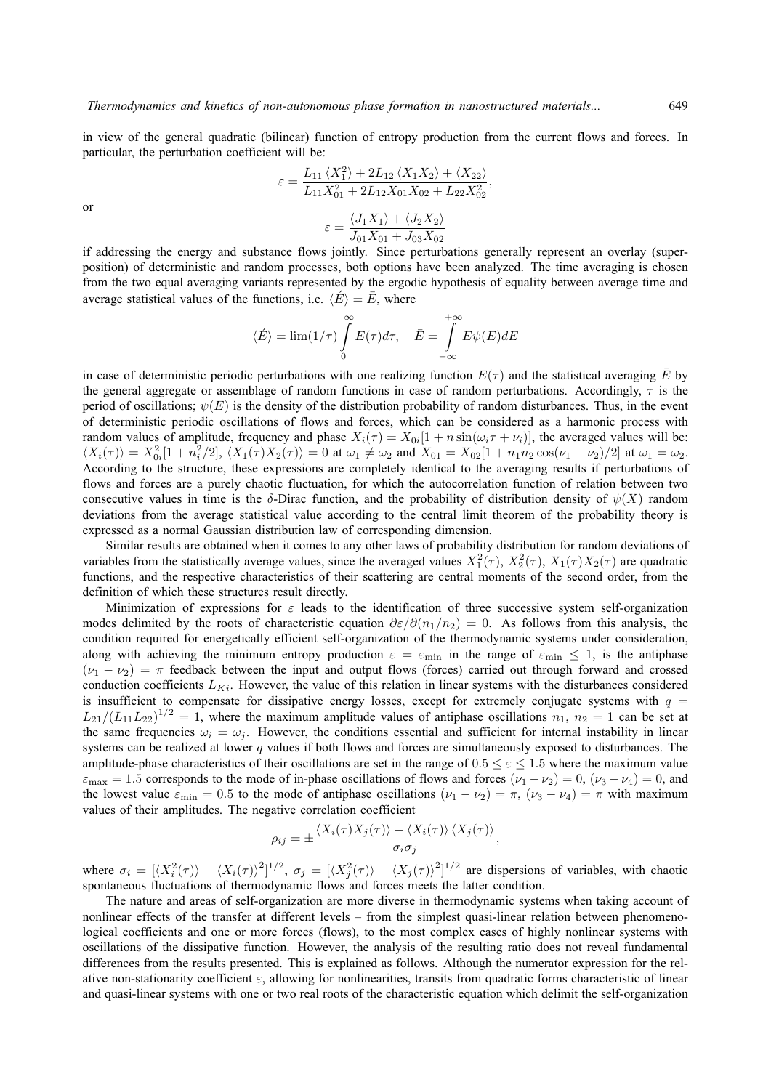in view of the general quadratic (bilinear) function of entropy production from the current flows and forces. In particular, the perturbation coefficient will be:

$$
\varepsilon = \frac{L_{11} \langle X_1^2 \rangle + 2L_{12} \langle X_1 X_2 \rangle + \langle X_{22} \rangle}{L_{11} X_{01}^2 + 2L_{12} X_{01} X_{02} + L_{22} X_{02}^2},
$$

$$
\varepsilon = \frac{\langle J_1 X_1 \rangle + \langle J_2 X_2 \rangle}{J_{01} X_{01} + J_{03} X_{02}}
$$

or

if addressing the energy and substance flows jointly. Since perturbations generally represent an overlay (superposition) of deterministic and random processes, both options have been analyzed. The time averaging is chosen from the two equal averaging variants represented by the ergodic hypothesis of equality between average time and average statistical values of the functions, i.e.  $\langle \vec{E} \rangle = \bar{E}$ , where

$$
\langle \acute{E} \rangle = \lim (1/\tau) \int_{0}^{\infty} E(\tau) d\tau, \quad \bar{E} = \int_{-\infty}^{+\infty} E \psi(E) dE
$$

in case of deterministic periodic perturbations with one realizing function  $E(\tau)$  and the statistical averaging  $\bar{E}$  by the general aggregate or assemblage of random functions in case of random perturbations. Accordingly,  $\tau$  is the period of oscillations;  $\psi(E)$  is the density of the distribution probability of random disturbances. Thus, in the event of deterministic periodic oscillations of flows and forces, which can be considered as a harmonic process with random values of amplitude, frequency and phase  $X_i(\tau) = X_{0i}[1 + n \sin(\omega_i \tau + \nu_i)]$ , the averaged values will be:  $\langle X_i(\tau) \rangle = X_{0i}^2[1 + n_i^2/2], \, \langle X_1(\tau)X_2(\tau) \rangle = 0$  at  $\omega_1 \neq \omega_2$  and  $X_{01} = X_{02}[1 + n_1n_2\cos(\nu_1 - \nu_2)/2]$  at  $\omega_1 = \omega_2$ . According to the structure, these expressions are completely identical to the averaging results if perturbations of flows and forces are a purely chaotic fluctuation, for which the autocorrelation function of relation between two consecutive values in time is the δ-Dirac function, and the probability of distribution density of  $\psi(X)$  random deviations from the average statistical value according to the central limit theorem of the probability theory is expressed as a normal Gaussian distribution law of corresponding dimension.

Similar results are obtained when it comes to any other laws of probability distribution for random deviations of variables from the statistically average values, since the averaged values  $X_1^2(\tau)$ ,  $X_2^2(\tau)$ ,  $X_1(\tau)X_2(\tau)$  are quadratic functions, and the respective characteristics of their scattering are central moments of the second order, from the definition of which these structures result directly.

Minimization of expressions for  $\varepsilon$  leads to the identification of three successive system self-organization modes delimited by the roots of characteristic equation  $\partial \varepsilon/\partial(n_1/n_2) = 0$ . As follows from this analysis, the condition required for energetically efficient self-organization of the thermodynamic systems under consideration, along with achieving the minimum entropy production  $\varepsilon = \varepsilon_{\min}$  in the range of  $\varepsilon_{\min} \le 1$ , is the antiphase  $(\nu_1 - \nu_2) = \pi$  feedback between the input and output flows (forces) carried out through forward and crossed conduction coefficients  $L_{Ki}$ . However, the value of this relation in linear systems with the disturbances considered is insufficient to compensate for dissipative energy losses, except for extremely conjugate systems with  $q =$  $L_{21}/(L_{11}L_{22})^{1/2} = 1$ , where the maximum amplitude values of antiphase oscillations  $n_1$ ,  $n_2 = 1$  can be set at the same frequencies  $\omega_i = \omega_i$ . However, the conditions essential and sufficient for internal instability in linear systems can be realized at lower q values if both flows and forces are simultaneously exposed to disturbances. The amplitude-phase characteristics of their oscillations are set in the range of  $0.5 \le \epsilon \le 1.5$  where the maximum value  $\varepsilon_{\text{max}} = 1.5$  corresponds to the mode of in-phase oscillations of flows and forces  $(\nu_1 - \nu_2) = 0$ ,  $(\nu_3 - \nu_4) = 0$ , and the lowest value  $\varepsilon_{\min} = 0.5$  to the mode of antiphase oscillations  $(\nu_1 - \nu_2) = \pi$ ,  $(\nu_3 - \nu_4) = \pi$  with maximum values of their amplitudes. The negative correlation coefficient

$$
\rho_{ij} = \pm \frac{\langle X_i(\tau)X_j(\tau) \rangle - \langle X_i(\tau) \rangle \langle X_j(\tau) \rangle}{\sigma_i \sigma_j},
$$

where  $\sigma_i = [\langle X_i^2(\tau) \rangle - \langle X_i(\tau) \rangle^2]^{1/2}$ ,  $\sigma_j = [\langle X_j^2(\tau) \rangle - \langle X_j(\tau) \rangle^2]^{1/2}$  are dispersions of variables, with chaotic spontaneous fluctuations of thermodynamic flows and forces meets the latter condition.

The nature and areas of self-organization are more diverse in thermodynamic systems when taking account of nonlinear effects of the transfer at different levels – from the simplest quasi-linear relation between phenomenological coefficients and one or more forces (flows), to the most complex cases of highly nonlinear systems with oscillations of the dissipative function. However, the analysis of the resulting ratio does not reveal fundamental differences from the results presented. This is explained as follows. Although the numerator expression for the relative non-stationarity coefficient  $\varepsilon$ , allowing for nonlinearities, transits from quadratic forms characteristic of linear and quasi-linear systems with one or two real roots of the characteristic equation which delimit the self-organization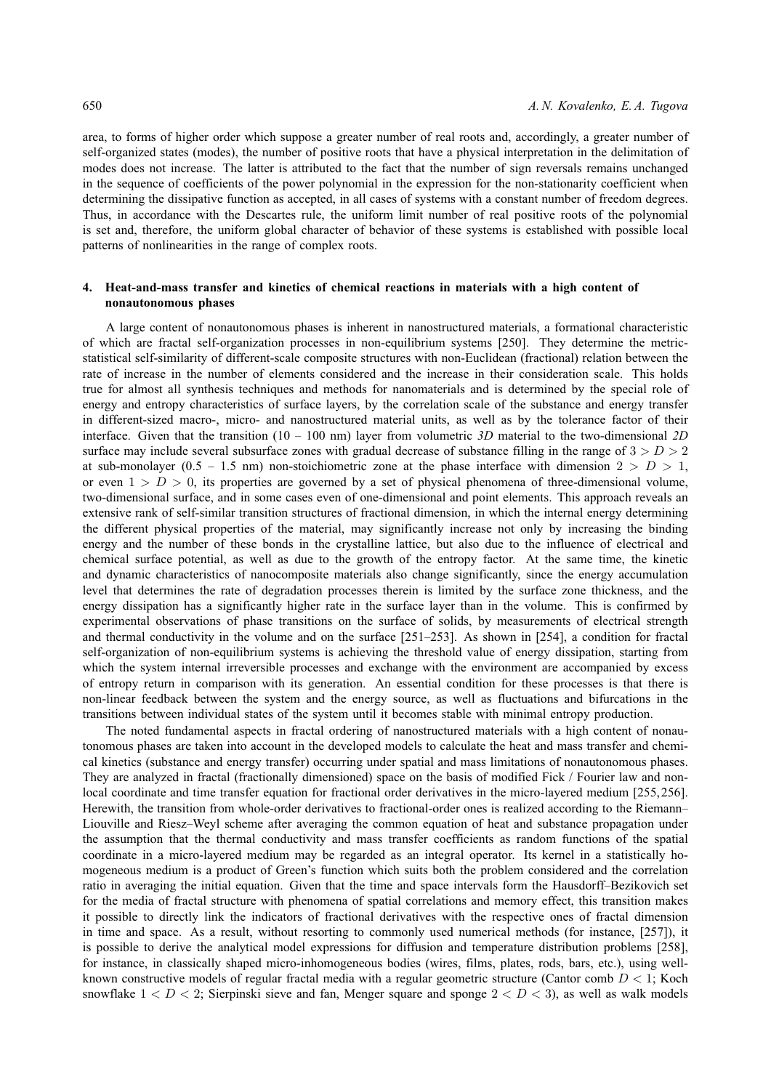area, to forms of higher order which suppose a greater number of real roots and, accordingly, a greater number of self-organized states (modes), the number of positive roots that have a physical interpretation in the delimitation of modes does not increase. The latter is attributed to the fact that the number of sign reversals remains unchanged in the sequence of coefficients of the power polynomial in the expression for the non-stationarity coefficient when determining the dissipative function as accepted, in all cases of systems with a constant number of freedom degrees. Thus, in accordance with the Descartes rule, the uniform limit number of real positive roots of the polynomial is set and, therefore, the uniform global character of behavior of these systems is established with possible local patterns of nonlinearities in the range of complex roots.

## **4. Heat-and-mass transfer and kinetics of chemical reactions in materials with a high content of nonautonomous phases**

A large content of nonautonomous phases is inherent in nanostructured materials, a formational characteristic of which are fractal self-organization processes in non-equilibrium systems [250]. They determine the metricstatistical self-similarity of different-scale composite structures with non-Euclidean (fractional) relation between the rate of increase in the number of elements considered and the increase in their consideration scale. This holds true for almost all synthesis techniques and methods for nanomaterials and is determined by the special role of energy and entropy characteristics of surface layers, by the correlation scale of the substance and energy transfer in different-sized macro-, micro- and nanostructured material units, as well as by the tolerance factor of their interface. Given that the transition (10 – 100 nm) layer from volumetric *3D* material to the two-dimensional *2D* surface may include several subsurface zones with gradual decrease of substance filling in the range of  $3 > D > 2$ at sub-monolayer (0.5 – 1.5 nm) non-stoichiometric zone at the phase interface with dimension  $2 > D > 1$ , or even  $1 > D > 0$ , its properties are governed by a set of physical phenomena of three-dimensional volume, two-dimensional surface, and in some cases even of one-dimensional and point elements. This approach reveals an extensive rank of self-similar transition structures of fractional dimension, in which the internal energy determining the different physical properties of the material, may significantly increase not only by increasing the binding energy and the number of these bonds in the crystalline lattice, but also due to the influence of electrical and chemical surface potential, as well as due to the growth of the entropy factor. At the same time, the kinetic and dynamic characteristics of nanocomposite materials also change significantly, since the energy accumulation level that determines the rate of degradation processes therein is limited by the surface zone thickness, and the energy dissipation has a significantly higher rate in the surface layer than in the volume. This is confirmed by experimental observations of phase transitions on the surface of solids, by measurements of electrical strength and thermal conductivity in the volume and on the surface [251–253]. As shown in [254], a condition for fractal self-organization of non-equilibrium systems is achieving the threshold value of energy dissipation, starting from which the system internal irreversible processes and exchange with the environment are accompanied by excess of entropy return in comparison with its generation. An essential condition for these processes is that there is non-linear feedback between the system and the energy source, as well as fluctuations and bifurcations in the transitions between individual states of the system until it becomes stable with minimal entropy production.

The noted fundamental aspects in fractal ordering of nanostructured materials with a high content of nonautonomous phases are taken into account in the developed models to calculate the heat and mass transfer and chemical kinetics (substance and energy transfer) occurring under spatial and mass limitations of nonautonomous phases. They are analyzed in fractal (fractionally dimensioned) space on the basis of modified Fick / Fourier law and nonlocal coordinate and time transfer equation for fractional order derivatives in the micro-layered medium [255, 256]. Herewith, the transition from whole-order derivatives to fractional-order ones is realized according to the Riemann– Liouville and Riesz–Weyl scheme after averaging the common equation of heat and substance propagation under the assumption that the thermal conductivity and mass transfer coefficients as random functions of the spatial coordinate in a micro-layered medium may be regarded as an integral operator. Its kernel in a statistically homogeneous medium is a product of Green's function which suits both the problem considered and the correlation ratio in averaging the initial equation. Given that the time and space intervals form the Hausdorff–Bezikovich set for the media of fractal structure with phenomena of spatial correlations and memory effect, this transition makes it possible to directly link the indicators of fractional derivatives with the respective ones of fractal dimension in time and space. As a result, without resorting to commonly used numerical methods (for instance, [257]), it is possible to derive the analytical model expressions for diffusion and temperature distribution problems [258], for instance, in classically shaped micro-inhomogeneous bodies (wires, films, plates, rods, bars, etc.), using wellknown constructive models of regular fractal media with a regular geometric structure (Cantor comb  $D < 1$ ; Koch snowflake  $1 < D < 2$ ; Sierpinski sieve and fan, Menger square and sponge  $2 < D < 3$ ), as well as walk models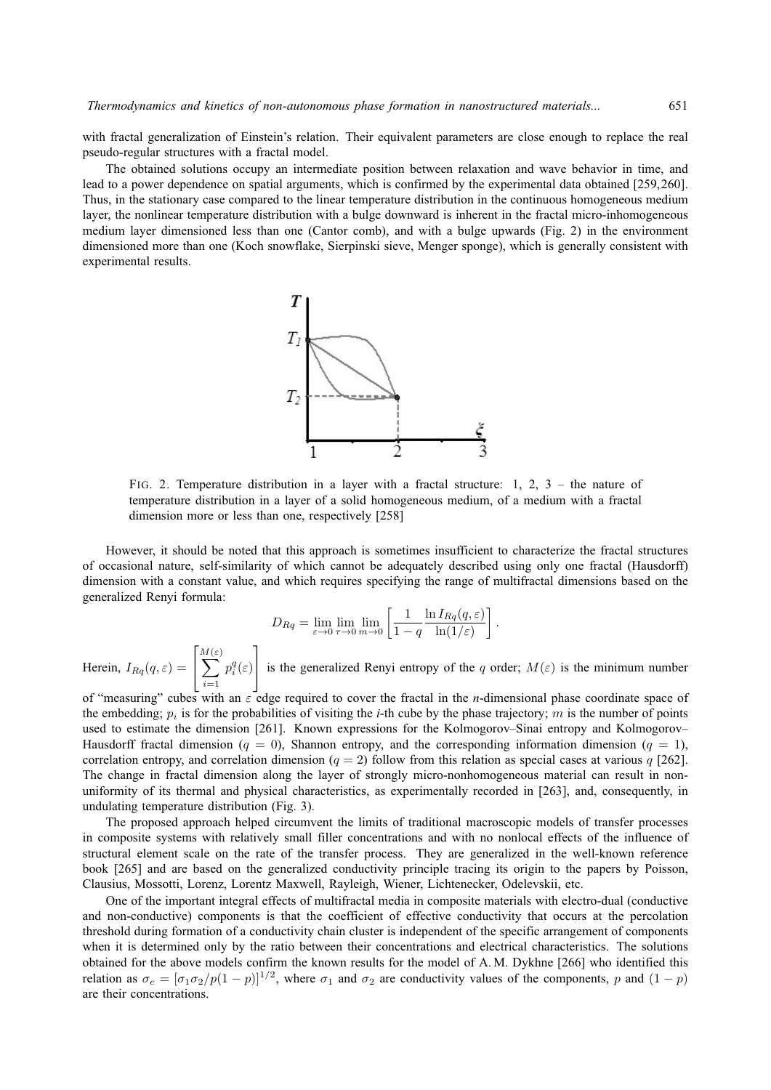with fractal generalization of Einstein's relation. Their equivalent parameters are close enough to replace the real pseudo-regular structures with a fractal model.

The obtained solutions occupy an intermediate position between relaxation and wave behavior in time, and lead to a power dependence on spatial arguments, which is confirmed by the experimental data obtained [259,260]. Thus, in the stationary case compared to the linear temperature distribution in the continuous homogeneous medium layer, the nonlinear temperature distribution with a bulge downward is inherent in the fractal micro-inhomogeneous medium layer dimensioned less than one (Cantor comb), and with a bulge upwards (Fig. 2) in the environment dimensioned more than one (Koch snowflake, Sierpinski sieve, Menger sponge), which is generally consistent with experimental results.



FIG. 2. Temperature distribution in a layer with a fractal structure: 1, 2, 3 – the nature of temperature distribution in a layer of a solid homogeneous medium, of a medium with a fractal dimension more or less than one, respectively [258]

However, it should be noted that this approach is sometimes insufficient to characterize the fractal structures of occasional nature, self-similarity of which cannot be adequately described using only one fractal (Hausdorff) dimension with a constant value, and which requires specifying the range of multifractal dimensions based on the generalized Renyi formula:

$$
D_{Rq} = \lim_{\varepsilon \to 0} \lim_{\tau \to 0} \lim_{m \to 0} \left[ \frac{1}{1-q} \frac{\ln I_{Rq}(q, \varepsilon)}{\ln(1/\varepsilon)} \right].
$$

Herein,  $I_{Rq}(q, \varepsilon) =$  $\lceil$  $\overline{\phantom{a}}$ M  $\sum$ (ε)  $i=1$  $p_i^q(\varepsilon)$ 1 is the generalized Renyi entropy of the q order;  $M(\varepsilon)$  is the minimum number

of "measuring" cubes with an ε edge required to cover the fractal in the *n*-dimensional phase coordinate space of the embedding;  $p_i$  is for the probabilities of visiting the *i*-th cube by the phase trajectory; m is the number of points used to estimate the dimension [261]. Known expressions for the Kolmogorov–Sinai entropy and Kolmogorov– Hausdorff fractal dimension ( $q = 0$ ), Shannon entropy, and the corresponding information dimension ( $q = 1$ ), correlation entropy, and correlation dimension ( $q = 2$ ) follow from this relation as special cases at various q [262]. The change in fractal dimension along the layer of strongly micro-nonhomogeneous material can result in nonuniformity of its thermal and physical characteristics, as experimentally recorded in [263], and, consequently, in undulating temperature distribution (Fig. 3).

The proposed approach helped circumvent the limits of traditional macroscopic models of transfer processes in composite systems with relatively small filler concentrations and with no nonlocal effects of the influence of structural element scale on the rate of the transfer process. They are generalized in the well-known reference book [265] and are based on the generalized conductivity principle tracing its origin to the papers by Poisson, Clausius, Mossotti, Lorenz, Lorentz Maxwell, Rayleigh, Wiener, Lichtenecker, Odelevskii, etc.

One of the important integral effects of multifractal media in composite materials with electro-dual (conductive and non-conductive) components is that the coefficient of effective conductivity that occurs at the percolation threshold during formation of a conductivity chain cluster is independent of the specific arrangement of components when it is determined only by the ratio between their concentrations and electrical characteristics. The solutions obtained for the above models confirm the known results for the model of A. M. Dykhne [266] who identified this relation as  $\sigma_e = [\sigma_1 \sigma_2 / p(1-p)]^{1/2}$ , where  $\sigma_1$  and  $\sigma_2$  are conductivity values of the components, p and  $(1-p)$ are their concentrations.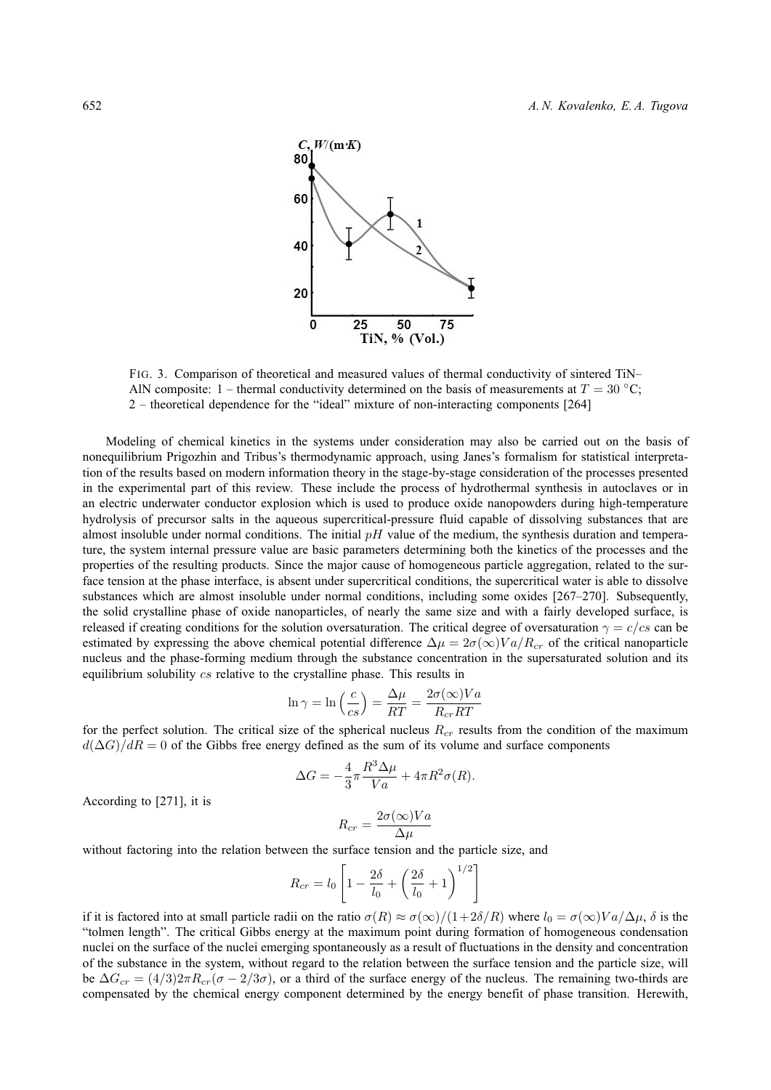

FIG. 3. Comparison of theoretical and measured values of thermal conductivity of sintered TiN– AlN composite: 1 – thermal conductivity determined on the basis of measurements at  $T = 30^{\circ}$ C; 2 – theoretical dependence for the "ideal" mixture of non-interacting components [264]

Modeling of chemical kinetics in the systems under consideration may also be carried out on the basis of nonequilibrium Prigozhin and Tribus's thermodynamic approach, using Janes's formalism for statistical interpretation of the results based on modern information theory in the stage-by-stage consideration of the processes presented in the experimental part of this review. These include the process of hydrothermal synthesis in autoclaves or in an electric underwater conductor explosion which is used to produce oxide nanopowders during high-temperature hydrolysis of precursor salts in the aqueous supercritical-pressure fluid capable of dissolving substances that are almost insoluble under normal conditions. The initial  $pH$  value of the medium, the synthesis duration and temperature, the system internal pressure value are basic parameters determining both the kinetics of the processes and the properties of the resulting products. Since the major cause of homogeneous particle aggregation, related to the surface tension at the phase interface, is absent under supercritical conditions, the supercritical water is able to dissolve substances which are almost insoluble under normal conditions, including some oxides [267–270]. Subsequently, the solid crystalline phase of oxide nanoparticles, of nearly the same size and with a fairly developed surface, is released if creating conditions for the solution oversaturation. The critical degree of oversaturation  $\gamma = c/cs$  can be estimated by expressing the above chemical potential difference  $\Delta \mu = 2\sigma(\infty)Va/R_{cr}$  of the critical nanoparticle nucleus and the phase-forming medium through the substance concentration in the supersaturated solution and its equilibrium solubility  $cs$  relative to the crystalline phase. This results in

$$
\ln \gamma = \ln \left( \frac{c}{cs} \right) = \frac{\Delta \mu}{RT} = \frac{2\sigma(\infty) V a}{R_{cr} RT}
$$

for the perfect solution. The critical size of the spherical nucleus  $R_{cr}$  results from the condition of the maximum  $d(\Delta G)/dR = 0$  of the Gibbs free energy defined as the sum of its volume and surface components

$$
\Delta G = -\frac{4}{3}\pi \frac{R^3 \Delta \mu}{Va} + 4\pi R^2 \sigma(R).
$$

According to [271], it is

$$
R_{cr} = \frac{2\sigma(\infty)Va}{\Delta\mu}
$$

without factoring into the relation between the surface tension and the particle size, and

$$
R_{cr} = l_0 \left[ 1 - \frac{2\delta}{l_0} + \left( \frac{2\delta}{l_0} + 1 \right)^{1/2} \right]
$$

if it is factored into at small particle radii on the ratio  $\sigma(R) \approx \sigma(\infty)/(1+2\delta/R)$  where  $l_0 = \sigma(\infty)Va/\Delta\mu$ ,  $\delta$  is the "tolmen length". The critical Gibbs energy at the maximum point during formation of homogeneous condensation nuclei on the surface of the nuclei emerging spontaneously as a result of fluctuations in the density and concentration of the substance in the system, without regard to the relation between the surface tension and the particle size, will be  $\Delta G_{cr} = (4/3)2\pi R_{cr}(\sigma - 2/3\sigma)$ , or a third of the surface energy of the nucleus. The remaining two-thirds are compensated by the chemical energy component determined by the energy benefit of phase transition. Herewith,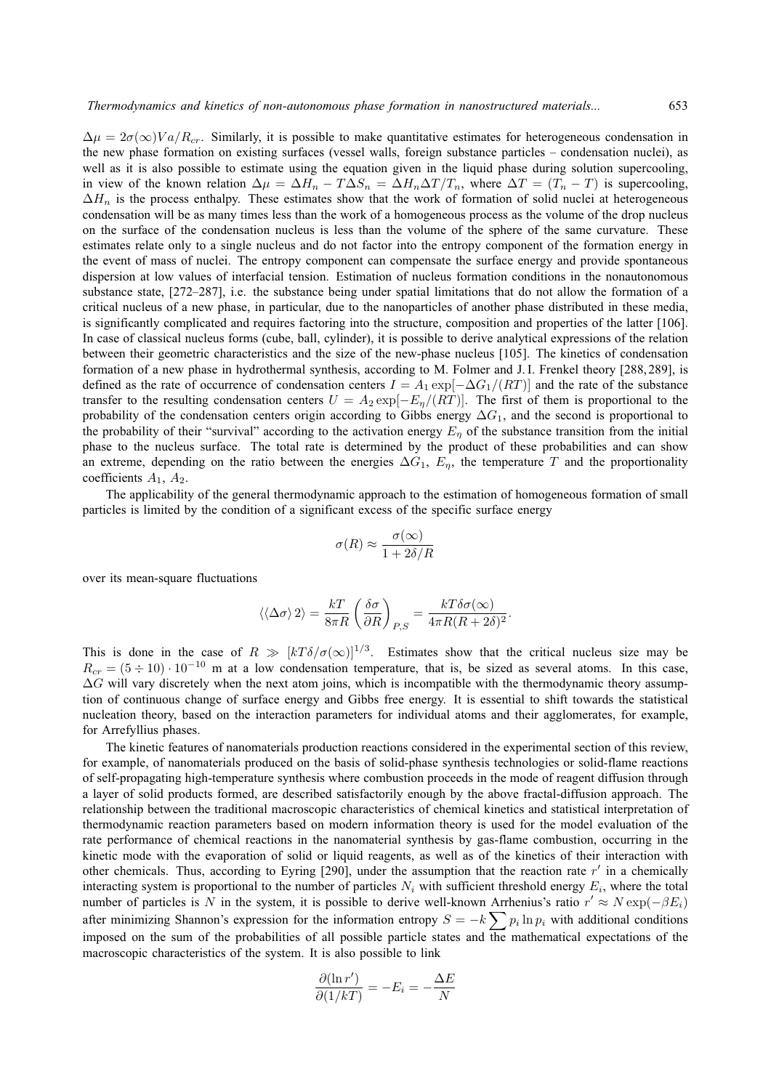$\Delta \mu = 2\sigma(\infty)Va/R_{cr}$ . Similarly, it is possible to make quantitative estimates for heterogeneous condensation in the new phase formation on existing surfaces (vessel walls, foreign substance particles – condensation nuclei), as well as it is also possible to estimate using the equation given in the liquid phase during solution supercooling, in view of the known relation  $\Delta \mu = \Delta H_n - T \Delta S_n = \Delta H_n \Delta T / T_n$ , where  $\Delta T = (T_n - T)$  is supercooling,  $\Delta H_n$  is the process enthalpy. These estimates show that the work of formation of solid nuclei at heterogeneous condensation will be as many times less than the work of a homogeneous process as the volume of the drop nucleus on the surface of the condensation nucleus is less than the volume of the sphere of the same curvature. These estimates relate only to a single nucleus and do not factor into the entropy component of the formation energy in the event of mass of nuclei. The entropy component can compensate the surface energy and provide spontaneous dispersion at low values of interfacial tension. Estimation of nucleus formation conditions in the nonautonomous substance state, [272–287], i.e. the substance being under spatial limitations that do not allow the formation of a critical nucleus of a new phase, in particular, due to the nanoparticles of another phase distributed in these media, is significantly complicated and requires factoring into the structure, composition and properties of the latter [106]. In case of classical nucleus forms (cube, ball, cylinder), it is possible to derive analytical expressions of the relation between their geometric characteristics and the size of the new-phase nucleus [105]. The kinetics of condensation formation of a new phase in hydrothermal synthesis, according to M. Folmer and J. I. Frenkel theory [288, 289], is defined as the rate of occurrence of condensation centers  $I = A_1 \exp[-\Delta G_1/(RT)]$  and the rate of the substance transfer to the resulting condensation centers  $U = A_2 \exp[-E_{\eta}/(RT)]$ . The first of them is proportional to the probability of the condensation centers origin according to Gibbs energy  $\Delta G_1$ , and the second is proportional to the probability of their "survival" according to the activation energy  $E<sub>n</sub>$  of the substance transition from the initial phase to the nucleus surface. The total rate is determined by the product of these probabilities and can show an extreme, depending on the ratio between the energies  $\Delta G_1$ ,  $E_\eta$ , the temperature T and the proportionality coefficients  $A_1, A_2$ .

The applicability of the general thermodynamic approach to the estimation of homogeneous formation of small particles is limited by the condition of a significant excess of the specific surface energy

$$
\sigma(R) \approx \frac{\sigma(\infty)}{1 + 2\delta/R}
$$

over its mean-square fluctuations

$$
\langle\langle\Delta\sigma\rangle\,2\rangle=\frac{kT}{8\pi R}\left(\frac{\delta\sigma}{\partial R}\right)_{P,S}=\frac{kT\delta\sigma(\infty)}{4\pi R(R+2\delta)^2}.
$$

This is done in the case of  $R \gg [kT \delta/\sigma(\infty)]^{1/3}$ . Estimates show that the critical nucleus size may be  $R_{cr} = (5 \div 10) \cdot 10^{-10}$  m at a low condensation temperature, that is, be sized as several atoms. In this case,  $\Delta G$  will vary discretely when the next atom joins, which is incompatible with the thermodynamic theory assumption of continuous change of surface energy and Gibbs free energy. It is essential to shift towards the statistical nucleation theory, based on the interaction parameters for individual atoms and their agglomerates, for example, for Arrefyllius phases.

The kinetic features of nanomaterials production reactions considered in the experimental section of this review, for example, of nanomaterials produced on the basis of solid-phase synthesis technologies or solid-flame reactions of self-propagating high-temperature synthesis where combustion proceeds in the mode of reagent diffusion through a layer of solid products formed, are described satisfactorily enough by the above fractal-diffusion approach. The relationship between the traditional macroscopic characteristics of chemical kinetics and statistical interpretation of thermodynamic reaction parameters based on modern information theory is used for the model evaluation of the rate performance of chemical reactions in the nanomaterial synthesis by gas-flame combustion, occurring in the kinetic mode with the evaporation of solid or liquid reagents, as well as of the kinetics of their interaction with other chemicals. Thus, according to Eyring [290], under the assumption that the reaction rate  $r'$  in a chemically interacting system is proportional to the number of particles  $N_i$  with sufficient threshold energy  $E_i$ , where the total number of particles is N in the system, it is possible to derive well-known Arrhenius's ratio  $r' \approx N \exp(-\beta E_i)$ after minimizing Shannon's expression for the information entropy  $S = -k \sum p_i \ln p_i$  with additional conditions imposed on the sum of the probabilities of all possible particle states and the mathematical expectations of the macroscopic characteristics of the system. It is also possible to link

$$
\frac{\partial(\ln r')}{\partial(1/kT)} = -E_i = -\frac{\Delta E}{N}
$$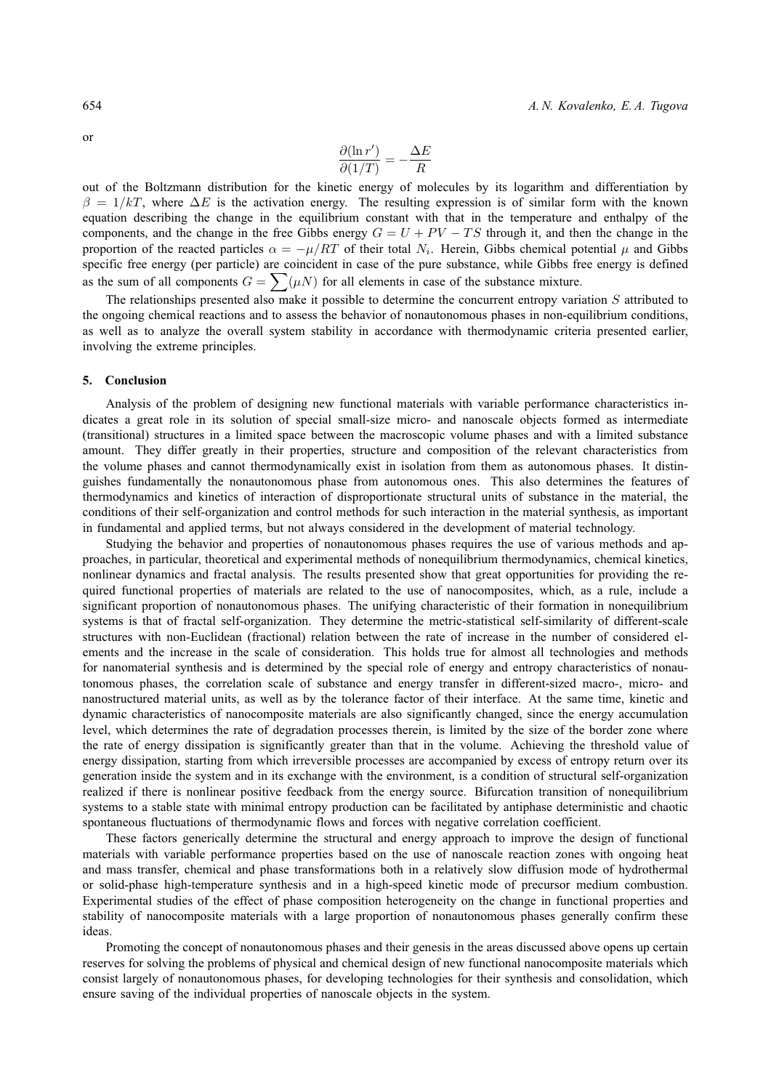$\partial(\ln r')$  $\frac{\partial (\ln r')}{\partial (1/T)} = -\frac{\Delta E}{R}$ 

out of the Boltzmann distribution for the kinetic energy of molecules by its logarithm and differentiation by  $\beta = 1/kT$ , where  $\Delta E$  is the activation energy. The resulting expression is of similar form with the known equation describing the change in the equilibrium constant with that in the temperature and enthalpy of the components, and the change in the free Gibbs energy  $G = U + PV - TS$  through it, and then the change in the proportion of the reacted particles  $\alpha = -\mu/RT$  of their total  $N_i$ . Herein, Gibbs chemical potential  $\mu$  and Gibbs specific free energy (per particle) are coincident in case of the pure substance, while Gibbs free energy is defined as the sum of all components  $G = \sum (\mu N)$  for all elements in case of the substance mixture.

R

The relationships presented also make it possible to determine the concurrent entropy variation  $S$  attributed to the ongoing chemical reactions and to assess the behavior of nonautonomous phases in non-equilibrium conditions, as well as to analyze the overall system stability in accordance with thermodynamic criteria presented earlier, involving the extreme principles.

#### **5. Conclusion**

Analysis of the problem of designing new functional materials with variable performance characteristics indicates a great role in its solution of special small-size micro- and nanoscale objects formed as intermediate (transitional) structures in a limited space between the macroscopic volume phases and with a limited substance amount. They differ greatly in their properties, structure and composition of the relevant characteristics from the volume phases and cannot thermodynamically exist in isolation from them as autonomous phases. It distinguishes fundamentally the nonautonomous phase from autonomous ones. This also determines the features of thermodynamics and kinetics of interaction of disproportionate structural units of substance in the material, the conditions of their self-organization and control methods for such interaction in the material synthesis, as important in fundamental and applied terms, but not always considered in the development of material technology.

Studying the behavior and properties of nonautonomous phases requires the use of various methods and approaches, in particular, theoretical and experimental methods of nonequilibrium thermodynamics, chemical kinetics, nonlinear dynamics and fractal analysis. The results presented show that great opportunities for providing the required functional properties of materials are related to the use of nanocomposites, which, as a rule, include a significant proportion of nonautonomous phases. The unifying characteristic of their formation in nonequilibrium systems is that of fractal self-organization. They determine the metric-statistical self-similarity of different-scale structures with non-Euclidean (fractional) relation between the rate of increase in the number of considered elements and the increase in the scale of consideration. This holds true for almost all technologies and methods for nanomaterial synthesis and is determined by the special role of energy and entropy characteristics of nonautonomous phases, the correlation scale of substance and energy transfer in different-sized macro-, micro- and nanostructured material units, as well as by the tolerance factor of their interface. At the same time, kinetic and dynamic characteristics of nanocomposite materials are also significantly changed, since the energy accumulation level, which determines the rate of degradation processes therein, is limited by the size of the border zone where the rate of energy dissipation is significantly greater than that in the volume. Achieving the threshold value of energy dissipation, starting from which irreversible processes are accompanied by excess of entropy return over its generation inside the system and in its exchange with the environment, is a condition of structural self-organization realized if there is nonlinear positive feedback from the energy source. Bifurcation transition of nonequilibrium systems to a stable state with minimal entropy production can be facilitated by antiphase deterministic and chaotic spontaneous fluctuations of thermodynamic flows and forces with negative correlation coefficient.

These factors generically determine the structural and energy approach to improve the design of functional materials with variable performance properties based on the use of nanoscale reaction zones with ongoing heat and mass transfer, chemical and phase transformations both in a relatively slow diffusion mode of hydrothermal or solid-phase high-temperature synthesis and in a high-speed kinetic mode of precursor medium combustion. Experimental studies of the effect of phase composition heterogeneity on the change in functional properties and stability of nanocomposite materials with a large proportion of nonautonomous phases generally confirm these ideas.

Promoting the concept of nonautonomous phases and their genesis in the areas discussed above opens up certain reserves for solving the problems of physical and chemical design of new functional nanocomposite materials which consist largely of nonautonomous phases, for developing technologies for their synthesis and consolidation, which ensure saving of the individual properties of nanoscale objects in the system.

or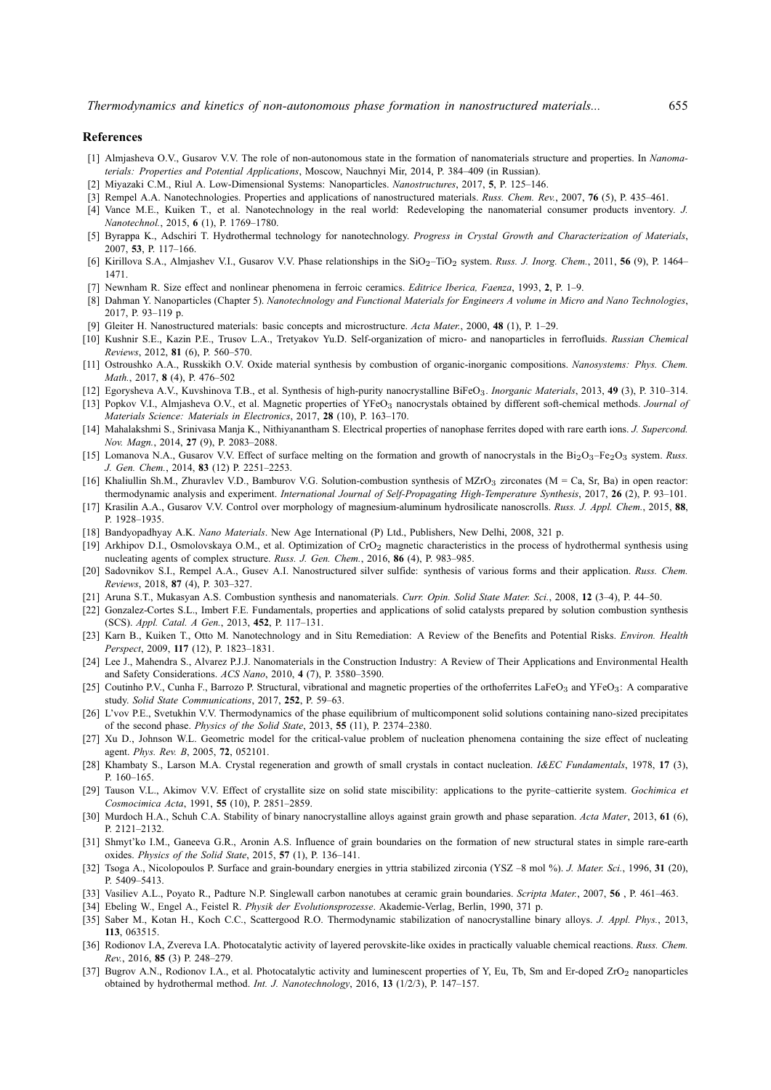#### **References**

- [1] Almjasheva O.V., Gusarov V.V. The role of non-autonomous state in the formation of nanomaterials structure and properties. In *Nanomaterials: Properties and Potential Applications*, Moscow, Nauchnyi Mir, 2014, P. 384–409 (in Russian).
- [2] Miyazaki C.M., Riul A. Low-Dimensional Systems: Nanoparticles. *Nanostructures*, 2017, **5**, P. 125–146.
- [3] Rempel A.A. Nanotechnologies. Properties and applications of nanostructured materials. *Russ. Chem. Rev.*, 2007, **76** (5), P. 435–461.
- [4] Vance M.E., Kuiken T., et al. Nanotechnology in the real world: Redeveloping the nanomaterial consumer products inventory. *J. Nanotechnol.*, 2015, **6** (1), P. 1769–1780.
- [5] Byrappa K., Adschiri T. Hydrothermal technology for nanotechnology. *Progress in Crystal Growth and Characterization of Materials*, 2007, **53**, P. 117–166.
- [6] Kirillova S.A., Almjashev V.I., Gusarov V.V. Phase relationships in the SiO2–TiO<sup>2</sup> system. *Russ. J. Inorg. Chem.*, 2011, **56** (9), P. 1464– 1471.
- [7] Newnham R. Size effect and nonlinear phenomena in ferroic ceramics. *Editrice Iberica, Faenza*, 1993, **2**, P. 1–9.
- [8] Dahman Y. Nanoparticles (Chapter 5). *Nanotechnology and Functional Materials for Engineers A volume in Micro and Nano Technologies*,  $2017$ , P. 93–119 p.
- [9] Gleiter H. Nanostructured materials: basic concepts and microstructure. *Acta Mater.*, 2000, **48** (1), P. 1–29.
- [10] Kushnir S.E., Kazin P.E., Trusov L.A., Tretyakov Yu.D. Self-organization of micro- and nanoparticles in ferrofluids. *Russian Chemical Reviews*, 2012, **81** (6), P. 560–570.
- [11] Ostroushko A.A., Russkikh O.V. Oxide material synthesis by combustion of organic-inorganic compositions. *Nanosystems: Phys. Chem. Math.*, 2017, **8** (4), P. 476–502
- [12] Egorysheva A.V., Kuvshinova T.B., et al. Synthesis of high-purity nanocrystalline BiFeO3. *Inorganic Materials*, 2013, **49** (3), P. 310–314.
- [13] Popkov V.I., Almjasheva O.V., et al. Magnetic properties of YFeO<sub>3</sub> nanocrystals obtained by different soft-chemical methods. *Journal of Materials Science: Materials in Electronics*, 2017, **28** (10), P. 163–170.
- [14] Mahalakshmi S., Srinivasa Manja K., Nithiyanantham S. Electrical properties of nanophase ferrites doped with rare earth ions. *J. Supercond. Nov. Magn.*, 2014, **27** (9), P. 2083–2088.
- [15] Lomanova N.A., Gusarov V.V. Effect of surface melting on the formation and growth of nanocrystals in the Bi2O3–Fe2O<sup>3</sup> system. *Russ. J. Gen. Chem.*, 2014, **83** (12) P. 2251–2253.
- [16] Khaliullin Sh.M., Zhuravlev V.D., Bamburov V.G. Solution-combustion synthesis of MZrO<sub>3</sub> zirconates (M = Ca, Sr, Ba) in open reactor: thermodynamic analysis and experiment. *International Journal of Self-Propagating High-Temperature Synthesis*, 2017, **26** (2), P. 93–101.
- [17] Krasilin A.A., Gusarov V.V. Control over morphology of magnesium-aluminum hydrosilicate nanoscrolls. *Russ. J. Appl. Chem.*, 2015, **88**, P. 1928–1935.
- [18] Bandyopadhyay A.K. *Nano Materials*. New Age International (P) Ltd., Publishers, New Delhi, 2008, 321 p.
- [19] Arkhipov D.I., Osmolovskaya O.M., et al. Optimization of CrO<sub>2</sub> magnetic characteristics in the process of hydrothermal synthesis using nucleating agents of complex structure. *Russ. J. Gen. Chem.*, 2016, **86** (4), P. 983–985.
- [20] Sadovnikov S.I., Rempel A.A., Gusev A.I. Nanostructured silver sulfide: synthesis of various forms and their application. *Russ. Chem. Reviews*, 2018, **87** (4), P. 303–327.
- [21] Aruna S.T., Mukasyan A.S. Combustion synthesis and nanomaterials. *Curr. Opin. Solid State Mater. Sci.*, 2008, **12** (3–4), P. 44–50.
- [22] Gonzalez-Cortes S.L., Imbert F.E. Fundamentals, properties and applications of solid catalysts prepared by solution combustion synthesis (SCS). *Appl. Catal. A Gen.*, 2013, **452**, P. 117–131.
- [23] Karn B., Kuiken T., Otto M. Nanotechnology and in Situ Remediation: A Review of the Benefits and Potential Risks. *Environ. Health Perspect*, 2009, **117** (12), P. 1823–1831.
- [24] Lee J., Mahendra S., Alvarez P.J.J. Nanomaterials in the Construction Industry: A Review of Their Applications and Environmental Health and Safety Considerations. *ACS Nano*, 2010, **4** (7), P. 3580–3590.
- [25] Coutinho P.V., Cunha F., Barrozo P. Structural, vibrational and magnetic properties of the orthoferrites LaFeO<sub>3</sub> and YFeO<sub>3</sub>: A comparative study. *Solid State Communications*, 2017, **252**, P. 59–63.
- [26] L'vov P.E., Svetukhin V.V. Thermodynamics of the phase equilibrium of multicomponent solid solutions containing nano-sized precipitates of the second phase. *Physics of the Solid State*, 2013, **55** (11), P. 2374–2380.
- [27] Xu D., Johnson W.L. Geometric model for the critical-value problem of nucleation phenomena containing the size effect of nucleating agent. *Phys. Rev. B*, 2005, **72**, 052101.
- [28] Khambaty S., Larson M.A. Crystal regeneration and growth of small crystals in contact nucleation. *I&EC Fundamentals*, 1978, **17** (3), P. 160–165.
- [29] Tauson V.L., Akimov V.V. Effect of crystallite size on solid state miscibility: applications to the pyrite–cattierite system. *Gochimica et Cosmocimica Acta*, 1991, **55** (10), P. 2851–2859.
- [30] Murdoch H.A., Schuh C.A. Stability of binary nanocrystalline alloys against grain growth and phase separation. *Acta Mater*, 2013, **61** (6), P. 2121–2132.
- [31] Shmyt'ko I.M., Ganeeva G.R., Aronin A.S. Influence of grain boundaries on the formation of new structural states in simple rare-earth oxides. *Physics of the Solid State*, 2015, **57** (1), P. 136–141.
- [32] Tsoga A., Nicolopoulos P. Surface and grain-boundary energies in yttria stabilized zirconia (YSZ –8 mol %). *J. Mater. Sci.*, 1996, **31** (20), P. 5409–5413.
- [33] Vasiliev A.L., Poyato R., Padture N.P. Singlewall carbon nanotubes at ceramic grain boundaries. *Scripta Mater.*, 2007, **56** , P. 461–463.
- [34] Ebeling W., Engel A., Feistel R. *Physik der Evolutionsprozesse*. Akademie-Verlag, Berlin, 1990, 371 p.
- [35] Saber M., Kotan H., Koch C.C., Scattergood R.O. Thermodynamic stabilization of nanocrystalline binary alloys. *J. Appl. Phys.*, 2013, **113**, 063515.
- [36] Rodionov I.A, Zvereva I.A. Photocatalytic activity of layered perovskite-like oxides in practically valuable chemical reactions. *Russ. Chem. Rev.*, 2016, **85** (3) P. 248–279.
- [37] Bugrov A.N., Rodionov I.A., et al. Photocatalytic activity and luminescent properties of Y, Eu, Tb, Sm and Er-doped ZrO<sub>2</sub> nanoparticles obtained by hydrothermal method. *Int. J. Nanotechnology*, 2016, **13** (1/2/3), P. 147–157.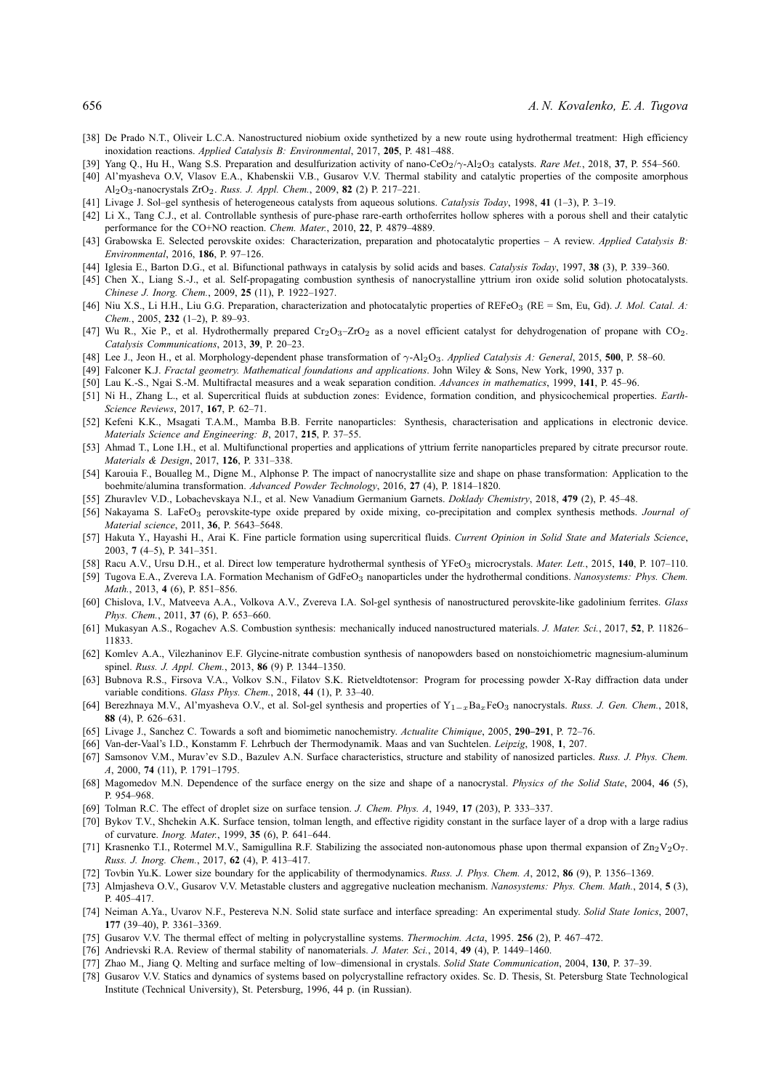- [38] De Prado N.T., Oliveir L.C.A. Nanostructured niobium oxide synthetized by a new route using hydrothermal treatment: High efficiency inoxidation reactions. *Applied Catalysis B: Environmental*, 2017, **205**, P. 481–488.
- [39] Yang Q., Hu H., Wang S.S. Preparation and desulfurization activity of nano-CeO2/γ-Al2O<sup>3</sup> catalysts. *Rare Met.*, 2018, **37**, P. 554–560.
- [40] Al'myasheva O.V, Vlasov E.A., Khabenskii V.B., Gusarov V.V. Thermal stability and catalytic properties of the composite amorphous Al2O3-nanocrystals ZrO2. *Russ. J. Appl. Chem.*, 2009, **82** (2) P. 217–221.
- [41] Livage J. Sol–gel synthesis of heterogeneous catalysts from aqueous solutions. *Catalysis Today*, 1998, **41** (1–3), P. 3–19.
- [42] Li X., Tang C.J., et al. Controllable synthesis of pure-phase rare-earth orthoferrites hollow spheres with a porous shell and their catalytic performance for the CO+NO reaction. *Chem. Mater.*, 2010, **22**, P. 4879–4889.
- [43] Grabowska E. Selected perovskite oxides: Characterization, preparation and photocatalytic properties A review. *Applied Catalysis B: Environmental*, 2016, **186**, P. 97–126.
- [44] Iglesia E., Barton D.G., et al. Bifunctional pathways in catalysis by solid acids and bases. *Catalysis Today*, 1997, **38** (3), P. 339–360.
- [45] Chen X., Liang S.-J., et al. Self-propagating combustion synthesis of nanocrystalline yttrium iron oxide solid solution photocatalysts. *Chinese J. Inorg. Chem.*, 2009, **25** (11), P. 1922–1927.
- [46] Niu X.S., Li H.H., Liu G.G. Preparation, characterization and photocatalytic properties of REFeO<sup>3</sup> (RE = Sm, Eu, Gd). *J. Mol. Catal. A: Chem.*, 2005, **232** (1–2), P. 89–93.
- [47] Wu R., Xie P., et al. Hydrothermally prepared Cr<sub>2</sub>O<sub>3</sub>-ZrO<sub>2</sub> as a novel efficient catalyst for dehydrogenation of propane with CO<sub>2</sub>. *Catalysis Communications*, 2013, **39**, P. 20–23.
- [48] Lee J., Jeon H., et al. Morphology-dependent phase transformation of γ-Al2O3. *Applied Catalysis A: General*, 2015, **500**, P. 58–60.
- [49] Falconer K.J. *Fractal geometry. Mathematical foundations and applications*. John Wiley & Sons, New York, 1990, 337 p.
- [50] Lau K.-S., Ngai S.-M. Multifractal measures and a weak separation condition. *Advances in mathematics*, 1999, **141**, P. 45–96.
- [51] Ni H., Zhang L., et al. Supercritical fluids at subduction zones: Evidence, formation condition, and physicochemical properties. *Earth-Science Reviews*, 2017, **167**, P. 62–71.
- [52] Kefeni K.K., Msagati T.A.M., Mamba B.B. Ferrite nanoparticles: Synthesis, characterisation and applications in electronic device. *Materials Science and Engineering: B*, 2017, **215**, P. 37–55.
- [53] Ahmad T., Lone I.H., et al. Multifunctional properties and applications of yttrium ferrite nanoparticles prepared by citrate precursor route. *Materials & Design*, 2017, **126**, P. 331–338.
- [54] Karouia F., Boualleg M., Digne M., Alphonse P. The impact of nanocrystallite size and shape on phase transformation: Application to the boehmite/alumina transformation. *Advanced Powder Technology*, 2016, **27** (4), P. 1814–1820.
- [55] Zhuravlev V.D., Lobachevskaya N.I., et al. New Vanadium Germanium Garnets. *Doklady Chemistry*, 2018, **479** (2), P. 45–48.
- [56] Nakayama S. LaFeO<sub>3</sub> perovskite-type oxide prepared by oxide mixing, co-precipitation and complex synthesis methods. *Journal of Material science*, 2011, **36**, P. 5643–5648.
- [57] Hakuta Y., Hayashi H., Arai K. Fine particle formation using supercritical fluids. *Current Opinion in Solid State and Materials Science*, 2003, **7** (4–5), P. 341–351.
- [58] Racu A.V., Ursu D.H., et al. Direct low temperature hydrothermal synthesis of YFeO<sup>3</sup> microcrystals. *Mater. Lett.*, 2015, **140**, P. 107–110.
- [59] Tugova E.A., Zvereva I.A. Formation Mechanism of GdFeO<sup>3</sup> nanoparticles under the hydrothermal conditions. *Nanosystems: Phys. Chem. Math.*, 2013, **4** (6), P. 851–856.
- [60] Chislova, I.V., Matveeva A.A., Volkova A.V., Zvereva I.A. Sol-gel synthesis of nanostructured perovskite-like gadolinium ferrites. *Glass Phys. Chem.*, 2011, **37** (6), P. 653–660.
- [61] Mukasyan A.S., Rogachev A.S. Combustion synthesis: mechanically induced nanostructured materials. *J. Mater. Sci.*, 2017, **52**, P. 11826– 11833.
- [62] Komlev A.A., Vilezhaninov E.F. Glycine-nitrate combustion synthesis of nanopowders based on nonstoichiometric magnesium-aluminum spinel. *Russ. J. Appl. Chem.*, 2013, **86** (9) P. 1344–1350.
- [63] Bubnova R.S., Firsova V.A., Volkov S.N., Filatov S.K. Rietveldtotensor: Program for processing powder X-Ray diffraction data under variable conditions. *Glass Phys. Chem.*, 2018, **44** (1), P. 33–40.
- [64] Berezhnaya M.V., Al'myasheva O.V., et al. Sol-gel synthesis and properties of Y1−xBaxFeO<sup>3</sup> nanocrystals. *Russ. J. Gen. Chem.*, 2018, **88** (4), P. 626–631.
- [65] Livage J., Sanchez C. Towards a soft and biomimetic nanochemistry. *Actualite Chimique*, 2005, **290–291**, P. 72–76.
- [66] Van-der-Vaal's I.D., Konstamm F. Lehrbuch der Thermodynamik. Maas and van Suchtelen. *Leipzig*, 1908, **1**, 207.
- [67] Samsonov V.M., Murav'ev S.D., Bazulev A.N. Surface characteristics, structure and stability of nanosized particles. *Russ. J. Phys. Chem. A*, 2000, **74** (11), P. 1791–1795.
- [68] Magomedov M.N. Dependence of the surface energy on the size and shape of a nanocrystal. *Physics of the Solid State*, 2004, **46** (5), P. 954–968.
- [69] Tolman R.C. The effect of droplet size on surface tension. *J. Chem. Phys. A*, 1949, **17** (203), P. 333–337.
- [70] Bykov T.V., Shchekin A.K. Surface tension, tolman length, and effective rigidity constant in the surface layer of a drop with a large radius of curvature. *Inorg. Mater.*, 1999, **35** (6), P. 641–644.
- [71] Krasnenko T.I., Rotermel M.V., Samigullina R.F. Stabilizing the associated non-autonomous phase upon thermal expansion of  $\mathbb{Z}n_2V_2O_7$ . *Russ. J. Inorg. Chem.*, 2017, **62** (4), P. 413–417.
- [72] Tovbin Yu.K. Lower size boundary for the applicability of thermodynamics. *Russ. J. Phys. Chem. A*, 2012, **86** (9), P. 1356–1369.
- [73] Almjasheva O.V., Gusarov V.V. Metastable clusters and aggregative nucleation mechanism. *Nanosystems: Phys. Chem. Math.*, 2014, **5** (3), P. 405–417.
- [74] Neiman A.Ya., Uvarov N.F., Pestereva N.N. Solid state surface and interface spreading: An experimental study. *Solid State Ionics*, 2007, **177** (39–40), P. 3361–3369.
- [75] Gusarov V.V. The thermal effect of melting in polycrystalline systems. *Thermochim. Acta*, 1995. **256** (2), P. 467–472.
- [76] Andrievski R.A. Review of thermal stability of nanomaterials. *J. Mater. Sci.*, 2014, **49** (4), P. 1449–1460.
- [77] Zhao M., Jiang Q. Melting and surface melting of low–dimensional in crystals. *Solid State Communication*, 2004, **130**, P. 37–39.
- [78] Gusarov V.V. Statics and dynamics of systems based on polycrystalline refractory oxides. Sc. D. Thesis, St. Petersburg State Technological Institute (Technical University), St. Petersburg, 1996, 44 p. (in Russian).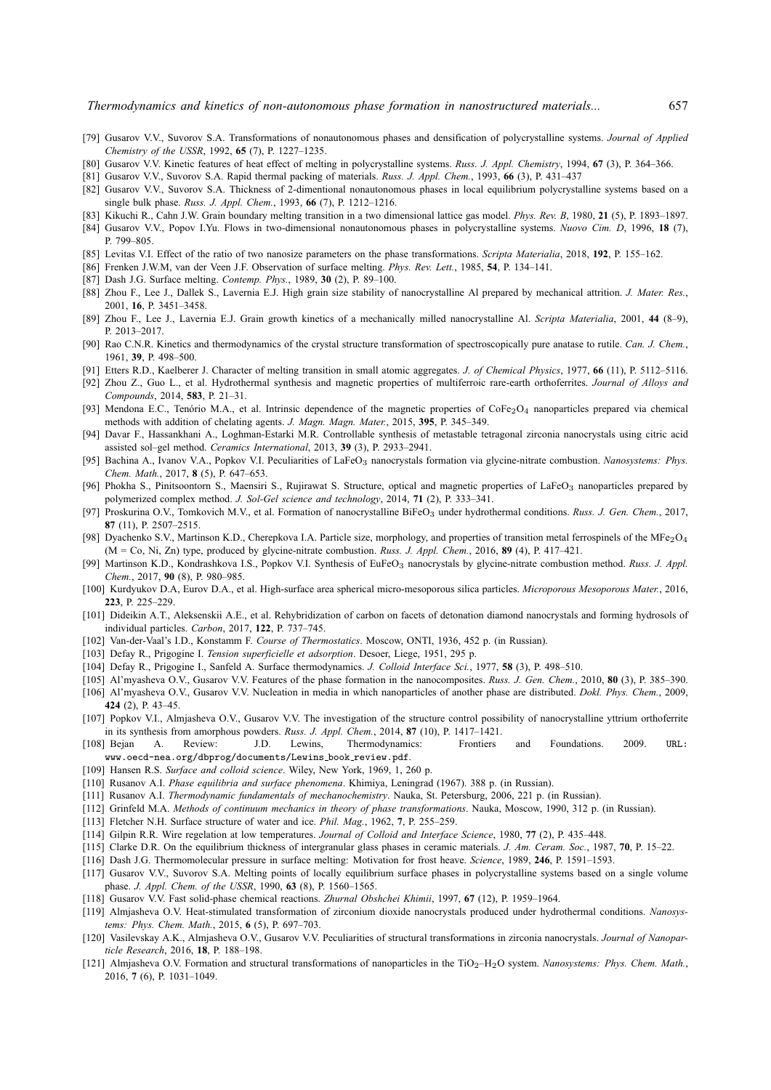- [79] Gusarov V.V., Suvorov S.A. Transformations of nonautonomous phases and densification of polycrystalline systems. *Journal of Applied Chemistry of the USSR*, 1992, **65** (7), P. 1227–1235.
- [80] Gusarov V.V. Kinetic features of heat effect of melting in polycrystalline systems. *Russ. J. Appl. Chemistry*, 1994, **67** (3), P. 364–366.
- [81] Gusarov V.V., Suvorov S.A. Rapid thermal packing of materials. *Russ. J. Appl. Chem.*, 1993, **66** (3), P. 431–437
- [82] Gusarov V.V., Suvorov S.A. Thickness of 2-dimentional nonautonomous phases in local equilibrium polycrystalline systems based on a single bulk phase. *Russ. J. Appl. Chem.*, 1993, **66** (7), P. 1212–1216.
- [83] Kikuchi R., Cahn J.W. Grain boundary melting transition in a two dimensional lattice gas model. *Phys. Rev. B*, 1980, **21** (5), P. 1893–1897.
- [84] Gusarov V.V., Popov I.Yu. Flows in two-dimensional nonautonomous phases in polycrystalline systems. *Nuovo Cim. D*, 1996, **18** (7), P. 799–805.
- [85] Levitas V.I. Effect of the ratio of two nanosize parameters on the phase transformations. *Scripta Materialia*, 2018, **192**, P. 155–162.
- [86] Frenken J.W.M, van der Veen J.F. Observation of surface melting. *Phys. Rev. Lett.*, 1985, **54**, P. 134–141.
- [87] Dash J.G. Surface melting. *Contemp. Phys.*, 1989, **30** (2), P. 89–100.
- [88] Zhou F., Lee J., Dallek S., Lavernia E.J. High grain size stability of nanocrystalline Al prepared by mechanical attrition. *J. Mater. Res.*, 2001, **16**, P. 3451–3458.
- [89] Zhou F., Lee J., Lavernia E.J. Grain growth kinetics of a mechanically milled nanocrystalline Al. *Scripta Materialia*, 2001, **44** (8–9), P. 2013–2017.
- [90] Rao C.N.R. Kinetics and thermodynamics of the crystal structure transformation of spectroscopically pure anatase to rutile. *Can. J. Chem.*, 1961, **39**, P. 498–500.
- [91] Etters R.D., Kaelberer J. Character of melting transition in small atomic aggregates. *J. of Chemical Physics*, 1977, **66** (11), P. 5112–5116.
- [92] Zhou Z., Guo L., et al. Hydrothermal synthesis and magnetic properties of multiferroic rare-earth orthoferrites. *Journal of Alloys and Compounds*, 2014, **583**, P. 21–31.
- [93] Mendona E.C., Tenório M.A., et al. Intrinsic dependence of the magnetic properties of CoFe<sub>2</sub>O<sub>4</sub> nanoparticles prepared via chemical methods with addition of chelating agents. *J. Magn. Magn. Mater.*, 2015, **395**, P. 345–349.
- [94] Davar F., Hassankhani A., Loghman-Estarki M.R. Controllable synthesis of metastable tetragonal zirconia nanocrystals using citric acid assisted sol–gel method. *Ceramics International*, 2013, **39** (3), P. 2933–2941.
- [95] Bachina A., Ivanov V.A., Popkov V.I. Peculiarities of LaFeO<sub>3</sub> nanocrystals formation via glycine-nitrate combustion. *Nanosystems: Phys. Chem. Math.*, 2017, **8** (5), P. 647–653.
- [96] Phokha S., Pinitsoontorn S., Maensiri S., Rujirawat S. Structure, optical and magnetic properties of LaFeO<sub>3</sub> nanoparticles prepared by polymerized complex method. *J. Sol-Gel science and technology*, 2014, **71** (2), P. 333–341.
- [97] Proskurina O.V., Tomkovich M.V., et al. Formation of nanocrystalline BiFeO<sub>3</sub> under hydrothermal conditions. Russ. J. Gen. Chem., 2017, **87** (11), P. 2507–2515.
- [98] Dyachenko S.V., Martinson K.D., Cherepkova I.A. Particle size, morphology, and properties of transition metal ferrospinels of the MFe<sub>2</sub>O<sub>4</sub> (M = Co, Ni, Zn) type, produced by glycine-nitrate combustion. *Russ. J. Appl. Chem.*, 2016, **89** (4), P. 417–421.
- [99] Martinson K.D., Kondrashkova I.S., Popkov V.I. Synthesis of EuFeO<sup>3</sup> nanocrystals by glycine-nitrate combustion method. *Russ. J. Appl. Chem.*, 2017, **90** (8), P. 980–985.
- [100] Kurdyukov D.A, Eurov D.A., et al. High-surface area spherical micro-mesoporous silica particles. *Microporous Mesoporous Mater.*, 2016, **223**, P. 225–229.
- [101] Dideikin A.T., Aleksenskii A.E., et al. Rehybridization of carbon on facets of detonation diamond nanocrystals and forming hydrosols of individual particles. *Carbon*, 2017, **122**, P. 737–745.
- [102] Van-der-Vaal's I.D., Konstamm F. *Course of Thermostatics*. Moscow, ONTI, 1936, 452 p. (in Russian).
- [103] Defay R., Prigogine I. *Tension superficielle et adsorption*. Desoer, Liege, 1951, 295 p.
- [104] Defay R., Prigogine I., Sanfeld A. Surface thermodynamics. *J. Colloid Interface Sci.*, 1977, **58** (3), P. 498–510.
- [105] Al'myasheva O.V., Gusarov V.V. Features of the phase formation in the nanocomposites. *Russ. J. Gen. Chem.*, 2010, **80** (3), P. 385–390.
- [106] Al'myasheva O.V., Gusarov V.V. Nucleation in media in which nanoparticles of another phase are distributed. *Dokl. Phys. Chem.*, 2009, **424** (2), P. 43–45.
- [107] Popkov V.I., Almjasheva O.V., Gusarov V.V. The investigation of the structure control possibility of nanocrystalline yttrium orthoferrite in its synthesis from amorphous powders. *Russ. J. Appl. Chem.*, 2014, **87** (10), P. 1417–1421.
- [108] Bejan A. Review: J.D. Lewins, Thermodynamics: Frontiers and Foundations. 2009. URL: www.oecd-nea.org/dbprog/documents/Lewins book review.pdf.
- [109] Hansen R.S. *Surface and colloid science*. Wiley, New York, 1969, 1, 260 p.
- [110] Rusanov A.I. *Phase equilibria and surface phenomena*. Khimiya, Leningrad (1967). 388 p. (in Russian).
- [111] Rusanov A.I. *Thermodynamic fundamentals of mechanochemistry*. Nauka, St. Petersburg, 2006, 221 p. (in Russian).
- [112] Grinfeld M.A. *Methods of continuum mechanics in theory of phase transformations*. Nauka, Moscow, 1990, 312 p. (in Russian).
- [113] Fletcher N.H. Surface structure of water and ice. *Phil. Mag.*, 1962, **7**, P. 255–259.
- [114] Gilpin R.R. Wire regelation at low temperatures. *Journal of Colloid and Interface Science*, 1980, **77** (2), P. 435–448.
- [115] Clarke D.R. On the equilibrium thickness of intergranular glass phases in ceramic materials. *J. Am. Ceram. Soc.*, 1987, **70**, P. 15–22.
- [116] Dash J.G. Thermomolecular pressure in surface melting: Motivation for frost heave. *Science*, 1989, **246**, P. 1591–1593.
- [117] Gusarov V.V., Suvorov S.A. Melting points of locally equilibrium surface phases in polycrystalline systems based on a single volume phase. *J. Appl. Chem. of the USSR*, 1990, **63** (8), P. 1560–1565.
- [118] Gusarov V.V. Fast solid-phase chemical reactions. *Zhurnal Obshchei Khimii*, 1997, **67** (12), P. 1959–1964.
- [119] Almjasheva O.V. Heat-stimulated transformation of zirconium dioxide nanocrystals produced under hydrothermal conditions. *Nanosystems: Phys. Chem. Math.*, 2015, **6** (5), P. 697–703.
- [120] Vasilevskay A.K., Almjasheva O.V., Gusarov V.V. Peculiarities of structural transformations in zirconia nanocrystals. *Journal of Nanoparticle Research*, 2016, **18**, P. 188–198.
- [121] Almjasheva O.V. Formation and structural transformations of nanoparticles in the TiO2–H2O system. *Nanosystems: Phys. Chem. Math.*, 2016, **7** (6), P. 1031–1049.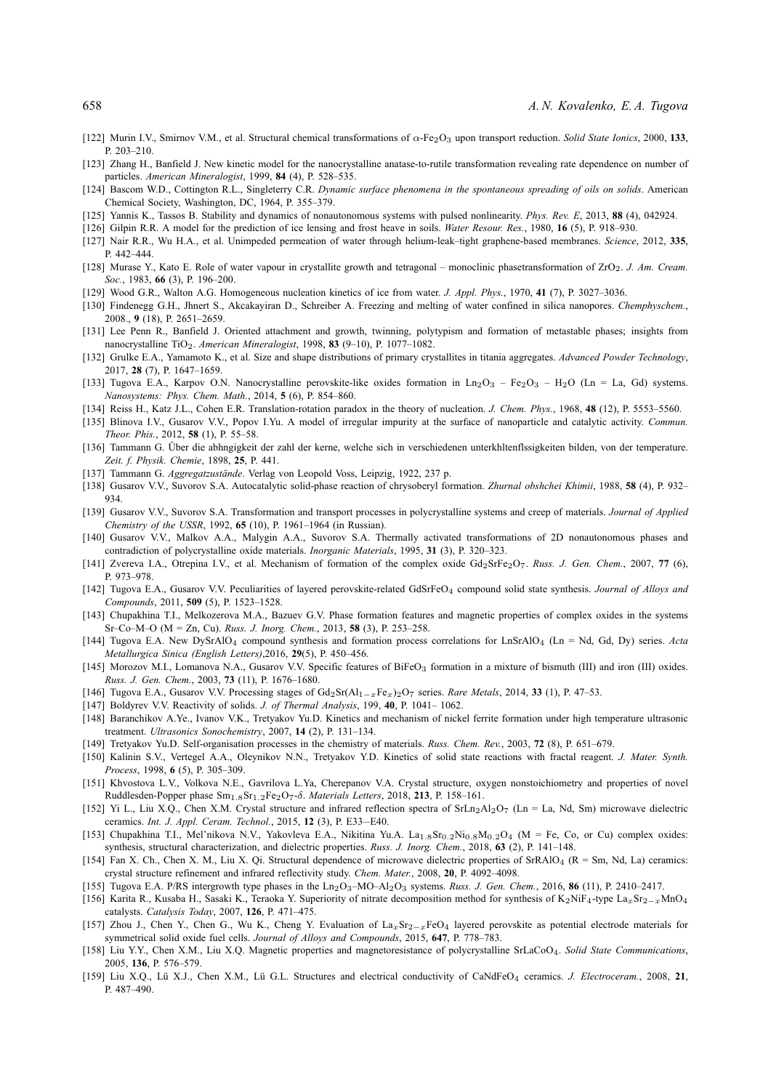- [122] Murin I.V., Smirnov V.M., et al. Structural chemical transformations of α-Fe2O<sup>3</sup> upon transport reduction. *Solid State Ionics*, 2000, **133**, P. 203–210.
- [123] Zhang H., Banfield J. New kinetic model for the nanocrystalline anatase-to-rutile transformation revealing rate dependence on number of particles. *American Mineralogist*, 1999, **84** (4), P. 528–535.
- [124] Bascom W.D., Cottington R.L., Singleterry C.R. *Dynamic surface phenomena in the spontaneous spreading of oils on solids*. American Chemical Society, Washington, DC, 1964, P. 355–379.
- [125] Yannis K., Tassos B. Stability and dynamics of nonautonomous systems with pulsed nonlinearity. *Phys. Rev. E*, 2013, **88** (4), 042924.
- [126] Gilpin R.R. A model for the prediction of ice lensing and frost heave in soils. *Water Resour. Res.*, 1980, **16** (5), P. 918–930.
- [127] Nair R.R., Wu H.A., et al. Unimpeded permeation of water through helium-leak–tight graphene-based membranes. *Science*, 2012, **335**, P. 442–444.
- [128] Murase Y., Kato E. Role of water vapour in crystallite growth and tetragonal monoclinic phasetransformation of ZrO2. *J. Am. Cream. Soc.*, 1983, **66** (3), P. 196–200.
- [129] Wood G.R., Walton A.G. Homogeneous nucleation kinetics of ice from water. *J. Appl. Phys.*, 1970, **41** (7), P. 3027–3036.
- [130] Findenegg G.H., Jhnert S., Akcakayiran D., Schreiber A. Freezing and melting of water confined in silica nanopores. *Chemphyschem.*, 2008., **9** (18), P. 2651–2659.
- [131] Lee Penn R., Banfield J. Oriented attachment and growth, twinning, polytypism and formation of metastable phases; insights from nanocrystalline TiO2. *American Mineralogist*, 1998, **83** (9–10), P. 1077–1082.
- [132] Grulke E.A., Yamamoto K., et al. Size and shape distributions of primary crystallites in titania aggregates. *Advanced Powder Technology*, 2017, **28** (7), P. 1647–1659.
- [133] Tugova E.A., Karpov O.N. Nanocrystalline perovskite-like oxides formation in Ln<sub>2</sub>O<sub>3</sub> Fe<sub>2</sub>O<sub>3</sub> H<sub>2</sub>O (Ln = La, Gd) systems. *Nanosystems: Phys. Chem. Math.*, 2014, **5** (6), P. 854–860.
- [134] Reiss H., Katz J.L., Cohen E.R. Translation-rotation paradox in the theory of nucleation. *J. Chem. Phys.*, 1968, **48** (12), P. 5553–5560.
- [135] Blinova I.V., Gusarov V.V., Popov I.Yu. A model of irregular impurity at the surface of nanoparticle and catalytic activity. *Commun. Theor. Phis.*, 2012, **58** (1), P. 55–58.
- [136] Tammann G. Über die abhngigkeit der zahl der kerne, welche sich in verschiedenen unterkhltenflssigkeiten bilden, von der temperature. *Zeit. f. Physik. Chemie*, 1898, **25**, P. 441.
- [137] Tammann G. *Aggregatzustände*. Verlag von Leopold Voss, Leipzig, 1922, 237 p.
- [138] Gusarov V.V., Suvorov S.A. Autocatalytic solid-phase reaction of chrysoberyl formation. *Zhurnal obshchei Khimii*, 1988, **58** (4), P. 932– 934.
- [139] Gusarov V.V., Suvorov S.A. Transformation and transport processes in polycrystalline systems and creep of materials. *Journal of Applied Chemistry of the USSR*, 1992, **65** (10), P. 1961–1964 (in Russian).
- [140] Gusarov V.V., Malkov A.A., Malygin A.A., Suvorov S.A. Thermally activated transformations of 2D nonautonomous phases and contradiction of polycrystalline oxide materials. *Inorganic Materials*, 1995, **31** (3), P. 320–323.
- [141] Zvereva I.A., Otrepina I.V., et al. Mechanism of formation of the complex oxide Gd2SrFe2O7. *Russ. J. Gen. Chem.*, 2007, **77** (6), P. 973–978.
- [142] Tugova E.A., Gusarov V.V. Peculiarities of layered perovskite-related GdSrFeO<sup>4</sup> compound solid state synthesis. *Journal of Alloys and Compounds*, 2011, **509** (5), P. 1523–1528.
- [143] Chupakhina T.I., Melkozerova M.A., Bazuev G.V. Phase formation features and magnetic properties of complex oxides in the systems Sr–Co–M–O (M = Zn, Cu). *Russ. J. Inorg. Chem.*, 2013, **58** (3), P. 253–258.
- [144] Tugova E.A. New DySrAlO<sup>4</sup> compound synthesis and formation process correlations for LnSrAlO<sup>4</sup> (Ln = Nd, Gd, Dy) series. *Acta Metallurgica Sinica (English Letters)*,2016, **29**(5), P. 450–456.
- [145] Morozov M.I., Lomanova N.A., Gusarov V.V. Specific features of BiFeO<sub>3</sub> formation in a mixture of bismuth (III) and iron (III) oxides. *Russ. J. Gen. Chem.*, 2003, **73** (11), P. 1676–1680.
- [146] Tugova E.A., Gusarov V.V. Processing stages of Gd2Sr(Al1−xFex)2O<sup>7</sup> series. *Rare Metals*, 2014, **33** (1), P. 47–53.
- [147] Boldyrev V.V. Reactivity of solids. *J. of Thermal Analysis*, 199, **40**, P. 1041– 1062.
- [148] Baranchikov A.Ye., Ivanov V.K., Tretyakov Yu.D. Kinetics and mechanism of nickel ferrite formation under high temperature ultrasonic treatment. *Ultrasonics Sonochemistry*, 2007, **14** (2), P. 131–134.
- [149] Tretyakov Yu.D. Self-organisation processes in the chemistry of materials. *Russ. Chem. Rev.*, 2003, **72** (8), P. 651–679.
- [150] Kalinin S.V., Vertegel A.A., Oleynikov N.N., Tretyakov Y.D. Kinetics of solid state reactions with fractal reagent. *J. Mater. Synth. Process*, 1998, **6** (5), P. 305–309.
- [151] Khvostova L.V., Volkova N.E., Gavrilova L.Ya, Cherepanov V.A. Crystal structure, oxygen nonstoichiometry and properties of novel Ruddlesden-Popper phase Sm1.8Sr1.2Fe2O7-δ. *Materials Letters*, 2018, **213**, P. 158–161.
- [152] Yi L., Liu X.Q., Chen X.M. Crystal structure and infrared reflection spectra of SrLn<sub>2</sub>Al<sub>2</sub>O<sub>7</sub> (Ln = La, Nd, Sm) microwave dielectric ceramics. *Int. J. Appl. Ceram. Technol.*, 2015, **12** (3), P. E33—E40.
- [153] Chupakhina T.I., Mel'nikova N.V., Yakovleva E.A., Nikitina Yu.A. La<sub>1.8</sub>Sr<sub>0.2</sub>Ni<sub>0.8</sub>M<sub>0.2</sub>O<sub>4</sub> (M = Fe, Co, or Cu) complex oxides: synthesis, structural characterization, and dielectric properties. *Russ. J. Inorg. Chem.*, 2018, **63** (2), P. 141–148.
- [154] Fan X. Ch., Chen X. M., Liu X. Qi. Structural dependence of microwave dielectric properties of SrRAlO<sub>4</sub> (R = Sm, Nd, La) ceramics: crystal structure refinement and infrared reflectivity study. *Chem. Mater.*, 2008, **20**, P. 4092–4098.
- [155] Tugova E.A. P/RS intergrowth type phases in the Ln2O3–MO–Al2O<sup>3</sup> systems. *Russ. J. Gen. Chem.*, 2016, **86** (11), P. 2410–2417.
- [156] Karita R., Kusaba H., Sasaki K., Teraoka Y. Superiority of nitrate decomposition method for synthesis of K2NiF4-type La<sub>x</sub>Sr<sub>2</sub>-xMnO<sub>4</sub> catalysts. *Catalysis Today*, 2007, **126**, P. 471–475.
- [157] Zhou J., Chen Y., Chen G., Wu K., Cheng Y. Evaluation of La<sub>x</sub>Sr<sub>2−x</sub>FeO<sub>4</sub> layered perovskite as potential electrode materials for symmetrical solid oxide fuel cells. *Journal of Alloys and Compounds*, 2015, **647**, P. 778–783.
- [158] Liu Y.Y., Chen X.M., Liu X.Q. Magnetic properties and magnetoresistance of polycrystalline SrLaCoO4. *Solid State Communications*, 2005, **136**, P. 576–579.
- [159] Liu X.Q., Lü X.J., Chen X.M., Lü G.L. Structures and electrical conductivity of CaNdFeO<sub>4</sub> ceramics. *J. Electroceram.*, 2008, 21, P. 487–490.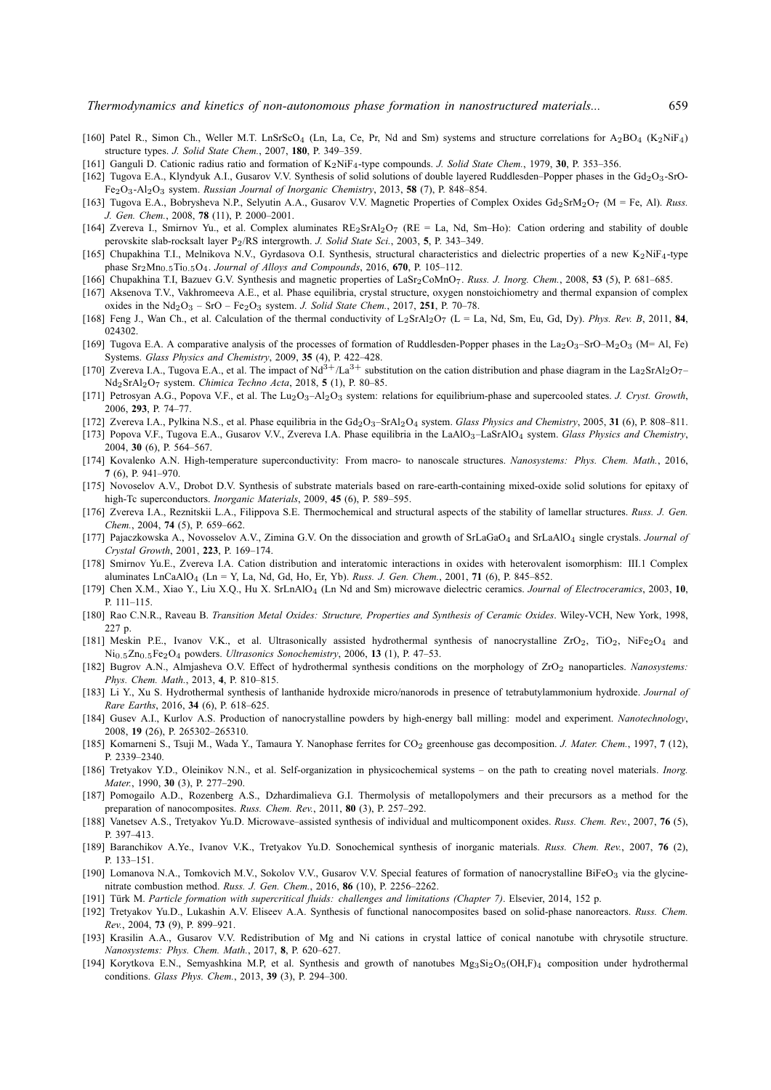- [160] Patel R., Simon Ch., Weller M.T. LnSrScO<sub>4</sub> (Ln, La, Ce, Pr, Nd and Sm) systems and structure correlations for A<sub>2</sub>BO<sub>4</sub> (K<sub>2</sub>NiF<sub>4</sub>) structure types. *J. Solid State Chem.*, 2007, **180**, P. 349–359.
- [161] Ganguli D. Cationic radius ratio and formation of K2NiF4-type compounds. *J. Solid State Chem.*, 1979, **30**, P. 353–356.
- [162] Tugova E.A., Klyndyuk A.I., Gusarov V.V. Synthesis of solid solutions of double layered Ruddlesden–Popper phases in the Gd<sub>2</sub>O<sub>3</sub>-SrO-Fe2O3-Al2O<sup>3</sup> system. *Russian Journal of Inorganic Chemistry*, 2013, **58** (7), P. 848–854.
- [163] Tugova E.A., Bobrysheva N.P., Selyutin A.A., Gusarov V.V. Magnetic Properties of Complex Oxides Gd2SrM2O<sup>7</sup> (M = Fe, Al). *Russ. J. Gen. Chem.*, 2008, **78** (11), P. 2000–2001.
- [164] Zvereva I., Smirnov Yu., et al. Complex aluminates RE2SrAl2O<sup>7</sup> (RE = La, Nd, Sm–Ho): Cation ordering and stability of double perovskite slab-rocksalt layer P2/RS intergrowth. *J. Solid State Sci.*, 2003, **5**, P. 343–349.
- [165] Chupakhina T.I., Melnikova N.V., Gyrdasova O.I. Synthesis, structural characteristics and dielectric properties of a new K2NiF4-type phase Sr2Mn0.5Ti0.5O4. *Journal of Alloys and Compounds*, 2016, **670**, P. 105–112.
- [166] Chupakhina T.I, Bazuev G.V. Synthesis and magnetic properties of LaSr2CoMnO7. *Russ. J. Inorg. Chem.*, 2008, **53** (5), P. 681–685.
- [167] Aksenova T.V., Vakhromeeva A.E., et al. Phase equilibria, crystal structure, oxygen nonstoichiometry and thermal expansion of complex oxides in the  $Nd_2O_3 - SrO - Fe_2O_3$  system. *J. Solid State Chem.*, 2017, 251, P. 70–78.
- [168] Feng J., Wan Ch., et al. Calculation of the thermal conductivity of L2SrAl2O<sup>7</sup> (L = La, Nd, Sm, Eu, Gd, Dy). *Phys. Rev. B*, 2011, **84**, 024302.
- [169] Tugova E.A. A comparative analysis of the processes of formation of Ruddlesden-Popper phases in the La2O3–SrO–M<sub>2</sub>O<sub>3</sub> (M= Al, Fe) Systems. *Glass Physics and Chemistry*, 2009, **35** (4), P. 422–428.
- [170] Zvereva I.A., Tugova E.A., et al. The impact of  $Nd^{3+}/La^{3+}$  substitution on the cation distribution and phase diagram in the La<sub>2</sub>SrAl<sub>2</sub>O<sub>7</sub>– Nd2SrAl2O<sup>7</sup> system. *Chimica Techno Acta*, 2018, **5** (1), P. 80–85.
- [171] Petrosyan A.G., Popova V.F., et al. The Lu2O3–Al2O<sup>3</sup> system: relations for equilibrium-phase and supercooled states. *J. Cryst. Growth*, 2006, **293**, P. 74–77.
- [172] Zvereva I.A., Pylkina N.S., et al. Phase equilibria in the Gd<sub>2</sub>O<sub>3</sub>-SrAl<sub>2</sub>O<sub>4</sub> system. *Glass Physics and Chemistry*, 2005, **31** (6), P. 808–811.
- [173] Popova V.F., Tugova E.A., Gusarov V.V., Zvereva I.A. Phase equilibria in the LaAlO<sub>3</sub>-LaSrAlO<sub>4</sub> system. *Glass Physics and Chemistry*, 2004, **30** (6), P. 564–567.
- [174] Kovalenko A.N. High-temperature superconductivity: From macro- to nanoscale structures. *Nanosystems: Phys. Chem. Math.*, 2016, **7** (6), P. 941–970.
- [175] Novoselov A.V., Drobot D.V. Synthesis of substrate materials based on rare-earth-containing mixed-oxide solid solutions for epitaxy of high-Tc superconductors. *Inorganic Materials*, 2009, **45** (6), P. 589–595.
- [176] Zvereva I.A., Reznitskii L.A., Filippova S.E. Thermochemical and structural aspects of the stability of lamellar structures. *Russ. J. Gen. Chem.*, 2004, **74** (5), P. 659–662.
- [177] Pajaczkowska A., Novosselov A.V., Zimina G.V. On the dissociation and growth of SrLaGaO<sub>4</sub> and SrLaAlO<sub>4</sub> single crystals. *Journal of Crystal Growth*, 2001, **223**, P. 169–174.
- [178] Smirnov Yu.E., Zvereva I.A. Cation distribution and interatomic interactions in oxides with heterovalent isomorphism: III.1 Complex aluminates LnCaAlO<sup>4</sup> (Ln = Y, La, Nd, Gd, Ho, Er, Yb). *Russ. J. Gen. Chem.*, 2001, **71** (6), P. 845–852.
- [179] Chen X.M., Xiao Y., Liu X.Q., Hu X. SrLnAlO<sup>4</sup> (Ln Nd and Sm) microwave dielectric ceramics. *Journal of Electroceramics*, 2003, **10**, P. 111–115.
- [180] Rao C.N.R., Raveau B. *Transition Metal Oxides: Structure, Properties and Synthesis of Ceramic Oxides*. Wiley-VCH, New York, 1998, 227 p.
- [181] Meskin P.E., Ivanov V.K., et al. Ultrasonically assisted hydrothermal synthesis of nanocrystalline  $ZrO_2$ , TiO<sub>2</sub>, NiFe<sub>2</sub>O<sub>4</sub> and Ni0.5Zn0.5Fe2O<sup>4</sup> powders. *Ultrasonics Sonochemistry*, 2006, **13** (1), P. 47–53.
- [182] Bugrov A.N., Almjasheva O.V. Effect of hydrothermal synthesis conditions on the morphology of ZrO<sup>2</sup> nanoparticles. *Nanosystems: Phys. Chem. Math.*, 2013, **4**, P. 810–815.
- [183] Li Y., Xu S. Hydrothermal synthesis of lanthanide hydroxide micro/nanorods in presence of tetrabutylammonium hydroxide. *Journal of Rare Earths*, 2016, **34** (6), P. 618–625.
- [184] Gusev A.I., Kurlov A.S. Production of nanocrystalline powders by high-energy ball milling: model and experiment. *Nanotechnology*, 2008, **19** (26), P. 265302–265310.
- [185] Komarneni S., Tsuji M., Wada Y., Tamaura Y. Nanophase ferrites for CO<sub>2</sub> greenhouse gas decomposition. *J. Mater. Chem.*, 1997, 7 (12), P. 2339–2340.
- [186] Tretyakov Y.D., Oleinikov N.N., et al. Self-organization in physicochemical systems on the path to creating novel materials. *Inorg. Mater.*, 1990, **30** (3), P. 277–290.
- [187] Pomogailo A.D., Rozenberg A.S., Dzhardimalieva G.I. Thermolysis of metallopolymers and their precursors as a method for the preparation of nanocomposites. *Russ. Chem. Rev.*, 2011, **80** (3), P. 257–292.
- [188] Vanetsev A.S., Tretyakov Yu.D. Microwave–assisted synthesis of individual and multicomponent oxides. *Russ. Chem. Rev.*, 2007, **76** (5), P. 397–413.
- [189] Baranchikov A.Ye., Ivanov V.K., Tretyakov Yu.D. Sonochemical synthesis of inorganic materials. *Russ. Chem. Rev.*, 2007, **76** (2), P. 133–151.
- [190] Lomanova N.A., Tomkovich M.V., Sokolov V.V., Gusarov V.V. Special features of formation of nanocrystalline BiFeO<sub>3</sub> via the glycinenitrate combustion method. *Russ. J. Gen. Chem.*, 2016, **86** (10), P. 2256–2262.
- [191] Türk M. Particle formation with supercritical fluids: challenges and limitations (Chapter 7). Elsevier, 2014, 152 p.
- [192] Tretyakov Yu.D., Lukashin A.V. Eliseev A.A. Synthesis of functional nanocomposites based on solid-phase nanoreactors. *Russ. Chem. Rev.*, 2004, **73** (9), P. 899–921.
- [193] Krasilin A.A., Gusarov V.V. Redistribution of Mg and Ni cations in crystal lattice of conical nanotube with chrysotile structure. *Nanosystems: Phys. Chem. Math.*, 2017, **8**, P. 620–627.
- [194] Korytkova E.N., Semyashkina M.P, et al. Synthesis and growth of nanotubes Mg<sub>3</sub>Si<sub>2</sub>O<sub>5</sub>(OH,F)<sub>4</sub> composition under hydrothermal conditions. *Glass Phys. Chem.*, 2013, **39** (3), P. 294–300.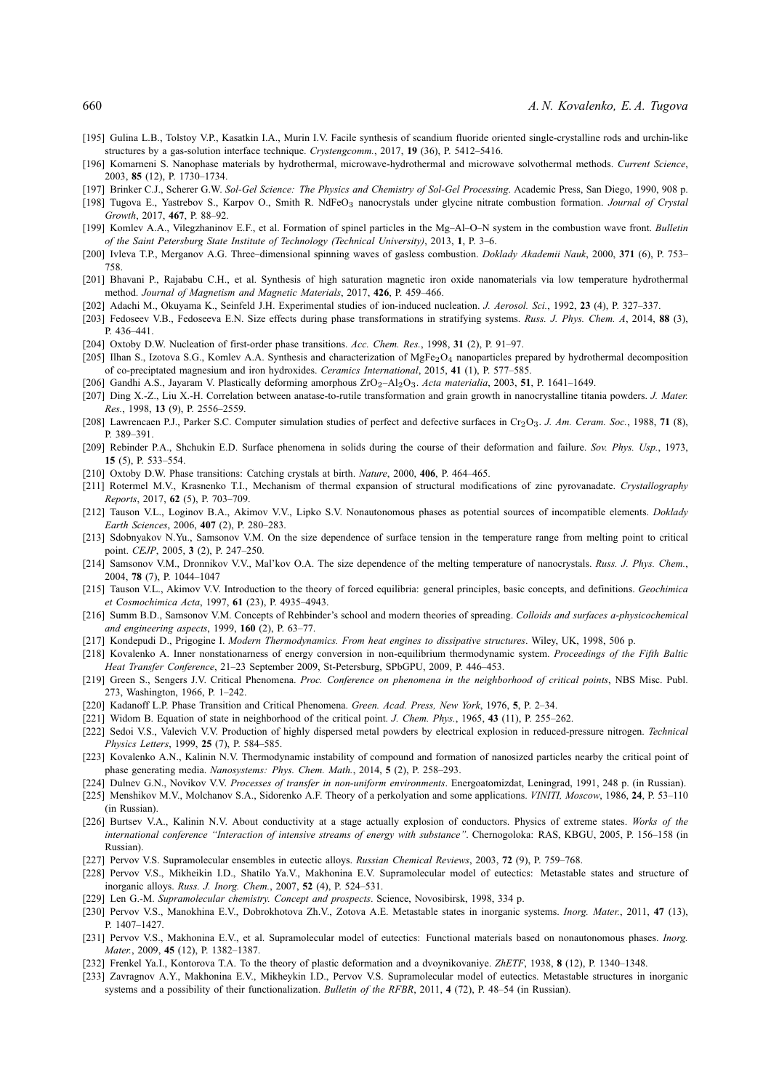- [195] Gulina L.B., Tolstoy V.P., Kasatkin I.A., Murin I.V. Facile synthesis of scandium fluoride oriented single-crystalline rods and urchin-like structures by a gas-solution interface technique. *Crystengcomm.*, 2017, **19** (36), P. 5412–5416.
- [196] Komarneni S. Nanophase materials by hydrothermal, microwave-hydrothermal and microwave solvothermal methods. *Current Science*, 2003, **85** (12), P. 1730–1734.
- [197] Brinker C.J., Scherer G.W. *Sol-Gel Science: The Physics and Chemistry of Sol-Gel Processing*. Academic Press, San Diego, 1990, 908 p.
- [198] Tugova E., Yastrebov S., Karpov O., Smith R. NdFeO<sup>3</sup> nanocrystals under glycine nitrate combustion formation. *Journal of Crystal Growth*, 2017, **467**, P. 88–92.
- [199] Komlev A.A., Vilegzhaninov E.F., et al. Formation of spinel particles in the Mg–Al–O–N system in the combustion wave front. *Bulletin of the Saint Petersburg State Institute of Technology (Technical University)*, 2013, **1**, P. 3–6.
- [200] Ivleva T.P., Merganov A.G. Three–dimensional spinning waves of gasless combustion. *Doklady Akademii Nauk*, 2000, **371** (6), P. 753– 758.
- [201] Bhavani P., Rajababu C.H., et al. Synthesis of high saturation magnetic iron oxide nanomaterials via low temperature hydrothermal method. *Journal of Magnetism and Magnetic Materials*, 2017, **426**, P. 459–466.
- [202] Adachi M., Okuyama K., Seinfeld J.H. Experimental studies of ion-induced nucleation. *J. Aerosol. Sci.*, 1992, **23** (4), P. 327–337.
- [203] Fedoseev V.B., Fedoseeva E.N. Size effects during phase transformations in stratifying systems. *Russ. J. Phys. Chem. A*, 2014, **88** (3), P. 436–441.
- [204] Oxtoby D.W. Nucleation of first-order phase transitions. *Acc. Chem. Res.*, 1998, **31** (2), P. 91–97.
- [205] Ilhan S., Izotova S.G., Komlev A.A. Synthesis and characterization of MgFe<sub>2</sub>O<sub>4</sub> nanoparticles prepared by hydrothermal decomposition of co-preciptated magnesium and iron hydroxides. *Ceramics International*, 2015, **41** (1), P. 577–585.
- [206] Gandhi A.S., Jayaram V. Plastically deforming amorphous ZrO2–Al2O3. *Acta materialia*, 2003, **51**, P. 1641–1649.
- [207] Ding X.-Z., Liu X.-H. Correlation between anatase-to-rutile transformation and grain growth in nanocrystalline titania powders. *J. Mater. Res.*, 1998, **13** (9), P. 2556–2559.
- [208] Lawrencaen P.J., Parker S.C. Computer simulation studies of perfect and defective surfaces in Cr<sub>2</sub>O<sub>3</sub>. *J. Am. Ceram. Soc.*, 1988, 71 (8), P. 389–391.
- [209] Rebinder P.A., Shchukin E.D. Surface phenomena in solids during the course of their deformation and failure. *Sov. Phys. Usp.*, 1973, **15** (5), P. 533–554.
- [210] Oxtoby D.W. Phase transitions: Catching crystals at birth. *Nature*, 2000, **406**, P. 464–465.
- [211] Rotermel M.V., Krasnenko T.I., Mechanism of thermal expansion of structural modifications of zinc pyrovanadate. *Crystallography Reports*, 2017, **62** (5), P. 703–709.
- [212] Tauson V.L., Loginov B.A., Akimov V.V., Lipko S.V. Nonautonomous phases as potential sources of incompatible elements. *Doklady Earth Sciences*, 2006, **407** (2), P. 280–283.
- [213] Sdobnyakov N.Yu., Samsonov V.M. On the size dependence of surface tension in the temperature range from melting point to critical point. *CEJP*, 2005, **3** (2), P. 247–250.
- [214] Samsonov V.M., Dronnikov V.V., Mal'kov O.A. The size dependence of the melting temperature of nanocrystals. *Russ. J. Phys. Chem.*, 2004, **78** (7), P. 1044–1047
- [215] Tauson V.L., Akimov V.V. Introduction to the theory of forced equilibria: general principles, basic concepts, and definitions. *Geochimica et Cosmochimica Acta*, 1997, **61** (23), P. 4935–4943.
- [216] Summ B.D., Samsonov V.M. Concepts of Rehbinder's school and modern theories of spreading. *Colloids and surfaces a-physicochemical and engineering aspects*, 1999, **160** (2), P. 63–77.
- [217] Kondepudi D., Prigogine I. *Modern Thermodynamics. From heat engines to dissipative structures*. Wiley, UK, 1998, 506 p.
- [218] Kovalenko A. Inner nonstationarness of energy conversion in non-equilibrium thermodynamic system. *Proceedings of the Fifth Baltic Heat Transfer Conference*, 21–23 September 2009, St-Petersburg, SPbGPU, 2009, P. 446–453.
- [219] Green S., Sengers J.V. Critical Phenomena. *Proc. Conference on phenomena in the neighborhood of critical points*, NBS Misc. Publ. 273, Washington, 1966, P. 1–242.
- [220] Kadanoff L.P. Phase Transition and Critical Phenomena. *Green. Acad. Press, New York*, 1976, **5**, P. 2–34.
- [221] Widom B. Equation of state in neighborhood of the critical point. *J. Chem. Phys.*, 1965, **43** (11), P. 255–262.
- [222] Sedoi V.S., Valevich V.V. Production of highly dispersed metal powders by electrical explosion in reduced-pressure nitrogen. *Technical Physics Letters*, 1999, **25** (7), P. 584–585.
- [223] Kovalenko A.N., Kalinin N.V. Thermodynamic instability of compound and formation of nanosized particles nearby the critical point of phase generating media. *Nanosystems: Phys. Chem. Math.*, 2014, **5** (2), P. 258–293.
- [224] Dulnev G.N., Novikov V.V. *Processes of transfer in non-uniform environments*. Energoatomizdat, Leningrad, 1991, 248 p. (in Russian).
- [225] Menshikov M.V., Molchanov S.A., Sidorenko A.F. Theory of a perkolyation and some applications. *VINITI, Moscow*, 1986, **24**, P. 53–110 (in Russian).
- [226] Burtsev V.A., Kalinin N.V. About conductivity at a stage actually explosion of conductors. Physics of extreme states. *Works of the international conference "Interaction of intensive streams of energy with substance"*. Chernogoloka: RAS, KBGU, 2005, P. 156–158 (in Russian).
- [227] Pervov V.S. Supramolecular ensembles in eutectic alloys. *Russian Chemical Reviews*, 2003, **72** (9), P. 759–768.
- [228] Pervov V.S., Mikheikin I.D., Shatilo Ya.V., Makhonina E.V. Supramolecular model of eutectics: Metastable states and structure of inorganic alloys. *Russ. J. Inorg. Chem.*, 2007, **52** (4), P. 524–531.
- [229] Len G.-M. *Supramolecular chemistry. Concept and prospects*. Science, Novosibirsk, 1998, 334 p.
- [230] Pervov V.S., Manokhina E.V., Dobrokhotova Zh.V., Zotova A.E. Metastable states in inorganic systems. *Inorg. Mater.*, 2011, **47** (13), P. 1407–1427.
- [231] Pervov V.S., Makhonina E.V., et al. Supramolecular model of eutectics: Functional materials based on nonautonomous phases. *Inorg. Mater.*, 2009, **45** (12), P. 1382–1387.
- [232] Frenkel Ya.I., Kontorova T.A. To the theory of plastic deformation and a dvoynikovaniye. *ZhETF*, 1938, **8** (12), P. 1340–1348.
- [233] Zavragnov A.Y., Makhonina E.V., Mikheykin I.D., Pervov V.S. Supramolecular model of eutectics. Metastable structures in inorganic systems and a possibility of their functionalization. *Bulletin of the RFBR*, 2011, **4** (72), P. 48–54 (in Russian).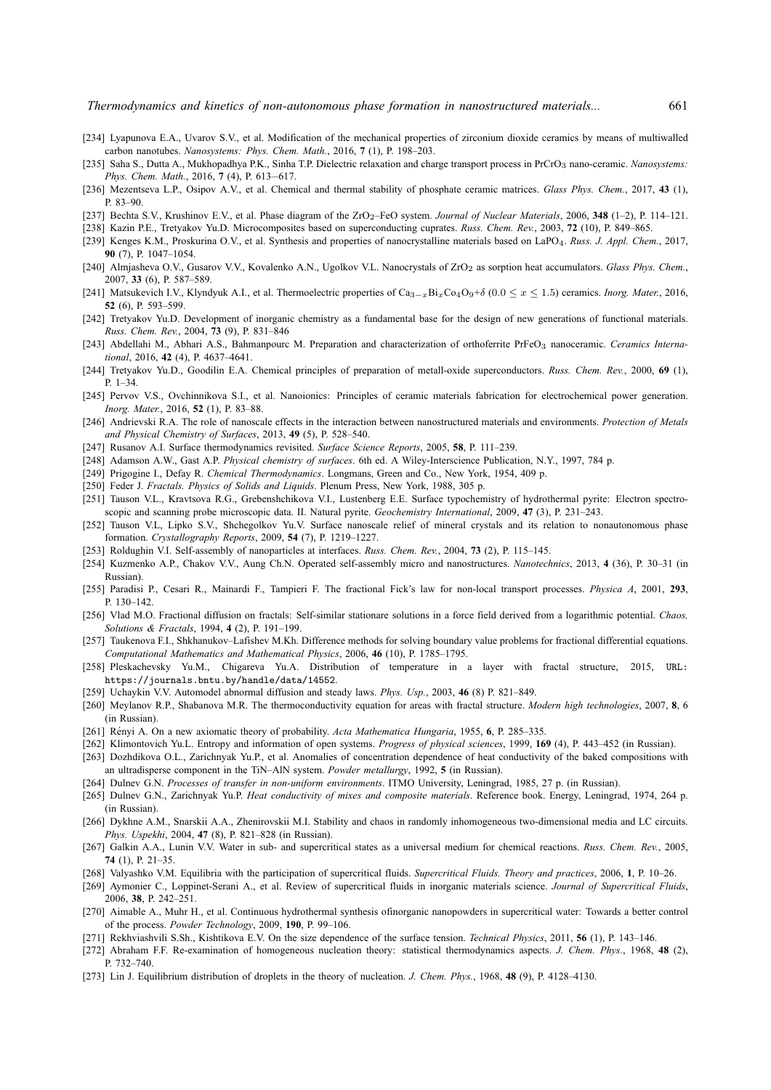- [234] Lyapunova E.A., Uvarov S.V., et al. Modification of the mechanical properties of zirconium dioxide ceramics by means of multiwalled carbon nanotubes. *Nanosystems: Phys. Chem. Math.*, 2016, **7** (1), P. 198–203.
- [235] Saha S., Dutta A., Mukhopadhya P.K., Sinha T.P. Dielectric relaxation and charge transport process in PrCrO<sup>3</sup> nano-ceramic. *Nanosystems: Phys. Chem. Math.*, 2016, **7** (4), P. 613—617.
- [236] Mezentseva L.P., Osipov A.V., et al. Chemical and thermal stability of phosphate ceramic matrices. *Glass Phys. Chem.*, 2017, **43** (1), P. 83–90.
- [237] Bechta S.V., Krushinov E.V., et al. Phase diagram of the ZrO<sub>2</sub>-FeO system. *Journal of Nuclear Materials*, 2006, 348 (1-2), P. 114-121.
- [238] Kazin P.E., Tretyakov Yu.D. Microcomposites based on superconducting cuprates. *Russ. Chem. Rev.*, 2003, **72** (10), P. 849–865.
- [239] Kenges K.M., Proskurina O.V., et al. Synthesis and properties of nanocrystalline materials based on LaPO4. *Russ. J. Appl. Chem.*, 2017, **90** (7), P. 1047–1054.
- [240] Almjasheva O.V., Gusarov V.V., Kovalenko A.N., Ugolkov V.L. Nanocrystals of ZrO<sub>2</sub> as sorption heat accumulators. Glass Phys. Chem., 2007, **33** (6), P. 587–589.
- [241] Matsukevich I.V., Klyndyuk A.I., et al. Thermoelectric properties of Ca3−xBixCo4O9+δ (0.0 ≤ x ≤ 1.5) ceramics. *Inorg. Mater.*, 2016, **52** (6), P. 593–599.
- [242] Tretyakov Yu.D. Development of inorganic chemistry as a fundamental base for the design of new generations of functional materials. *Russ. Chem. Rev.*, 2004, **73** (9), P. 831–846
- [243] Abdellahi M., Abhari A.S., Bahmanpourc M. Preparation and characterization of orthoferrite PrFeO<sub>3</sub> nanoceramic. *Ceramics International*, 2016, **42** (4), P. 4637–4641.
- [244] Tretyakov Yu.D., Goodilin E.A. Chemical principles of preparation of metall-oxide superconductors. *Russ. Chem. Rev.*, 2000, **69** (1),  $P<sub>1–34</sub>$
- [245] Pervov V.S., Ovchinnikova S.I., et al. Nanoionics: Principles of ceramic materials fabrication for electrochemical power generation. *Inorg. Mater.*, 2016, **52** (1), P. 83–88.
- [246] Andrievski R.A. The role of nanoscale effects in the interaction between nanostructured materials and environments. *Protection of Metals and Physical Chemistry of Surfaces*, 2013, **49** (5), P. 528–540.
- [247] Rusanov A.I. Surface thermodynamics revisited. *Surface Science Reports*, 2005, **58**, P. 111–239.
- [248] Adamson A.W., Gast A.P. *Physical chemistry of surfaces*. 6th ed. A Wiley-Interscience Publication, N.Y., 1997, 784 p.
- [249] Prigogine I., Defay R. *Chemical Thermodynamics*. Longmans, Green and Co., New York, 1954, 409 p.
- [250] Feder J. *Fractals. Physics of Solids and Liquids*. Plenum Press, New York, 1988, 305 p.
- [251] Tauson V.L., Kravtsova R.G., Grebenshchikova V.I., Lustenberg E.E. Surface typochemistry of hydrothermal pyrite: Electron spectroscopic and scanning probe microscopic data. II. Natural pyrite. *Geochemistry International*, 2009, **47** (3), P. 231–243.
- [252] Tauson V.L, Lipko S.V., Shchegolkov Yu.V. Surface nanoscale relief of mineral crystals and its relation to nonautonomous phase formation. *Crystallography Reports*, 2009, **54** (7), P. 1219–1227.
- [253] Roldughin V.I. Self-assembly of nanoparticles at interfaces. *Russ. Chem. Rev.*, 2004, **73** (2), P. 115–145.
- [254] Kuzmenko A.P., Chakov V.V., Aung Ch.N. Operated self-assembly micro and nanostructures. *Nanotechnics*, 2013, **4** (36), P. 30–31 (in Russian).
- [255] Paradisi P., Cesari R., Mainardi F., Tampieri F. The fractional Fick's law for non-local transport processes. *Physica A*, 2001, **293**, P. 130–142.
- [256] Vlad M.O. Fractional diffusion on fractals: Self-similar stationare solutions in a force field derived from a logarithmic potential. *Chaos, Solutions & Fractals*, 1994, **4** (2), P. 191–199.
- [257] Taukenova F.I., Shkhanukov–Lafishev M.Kh. Difference methods for solving boundary value problems for fractional differential equations. *Computational Mathematics and Mathematical Physics*, 2006, **46** (10), P. 1785–1795.
- [258] Pleskachevsky Yu.M., Chigareva Yu.A. Distribution of temperature in a layer with fractal structure, 2015, URL: https://journals.bntu.by/handle/data/14552.
- [259] Uchaykin V.V. Automodel abnormal diffusion and steady laws. *Phys. Usp.*, 2003, **46** (8) P. 821–849.
- [260] Meylanov R.P., Shabanova M.R. The thermoconductivity equation for areas with fractal structure. *Modern high technologies*, 2007, **8**, 6 (in Russian).
- [261] Rényi A. On a new axiomatic theory of probability. *Acta Mathematica Hungaria*, 1955, **6**, P. 285–335.
- [262] Klimontovich Yu.L. Entropy and information of open systems. *Progress of physical sciences*, 1999, **169** (4), P. 443–452 (in Russian).
- [263] Dozhdikova O.L., Zarichnyak Yu.P., et al. Anomalies of concentration dependence of heat conductivity of the baked compositions with an ultradisperse component in the TiN–AlN system. *Powder metallurgy*, 1992, **5** (in Russian).
- [264] Dulnev G.N. *Processes of transfer in non-uniform environments*. ITMO University, Leningrad, 1985, 27 p. (in Russian).
- [265] Dulnev G.N., Zarichnyak Yu.P. *Heat conductivity of mixes and composite materials*. Reference book. Energy, Leningrad, 1974, 264 p. (in Russian).
- [266] Dykhne A.M., Snarskii A.A., Zhenirovskii M.I. Stability and chaos in randomly inhomogeneous two-dimensional media and LC circuits. *Phys. Uspekhi*, 2004, **47** (8), P. 821–828 (in Russian).
- [267] Galkin A.A., Lunin V.V. Water in sub- and supercritical states as a universal medium for chemical reactions. *Russ. Chem. Rev.*, 2005, **74** (1), P. 21–35.
- [268] Valyashko V.M. Equilibria with the participation of supercritical fluids. *Supercritical Fluids. Theory and practices*, 2006, **1**, P. 10–26.
- [269] Aymonier C., Loppinet-Serani A., et al. Review of supercritical fluids in inorganic materials science. *Journal of Supercritical Fluids*, 2006, **38**, P. 242–251.
- [270] Aimable A., Muhr H., et al. Continuous hydrothermal synthesis ofinorganic nanopowders in supercritical water: Towards a better control of the process. *Powder Technology*, 2009, **190**, P. 99–106.
- [271] Rekhviashvili S.Sh., Kishtikova E.V. On the size dependence of the surface tension. *Technical Physics*, 2011, **56** (1), P. 143–146.
- [272] Abraham F.F. Re-examination of homogeneous nucleation theory: statistical thermodynamics aspects. *J. Chem. Phys.*, 1968, **48** (2), P. 732–740.
- [273] Lin J. Equilibrium distribution of droplets in the theory of nucleation. *J. Chem. Phys.*, 1968, **48** (9), P. 4128–4130.